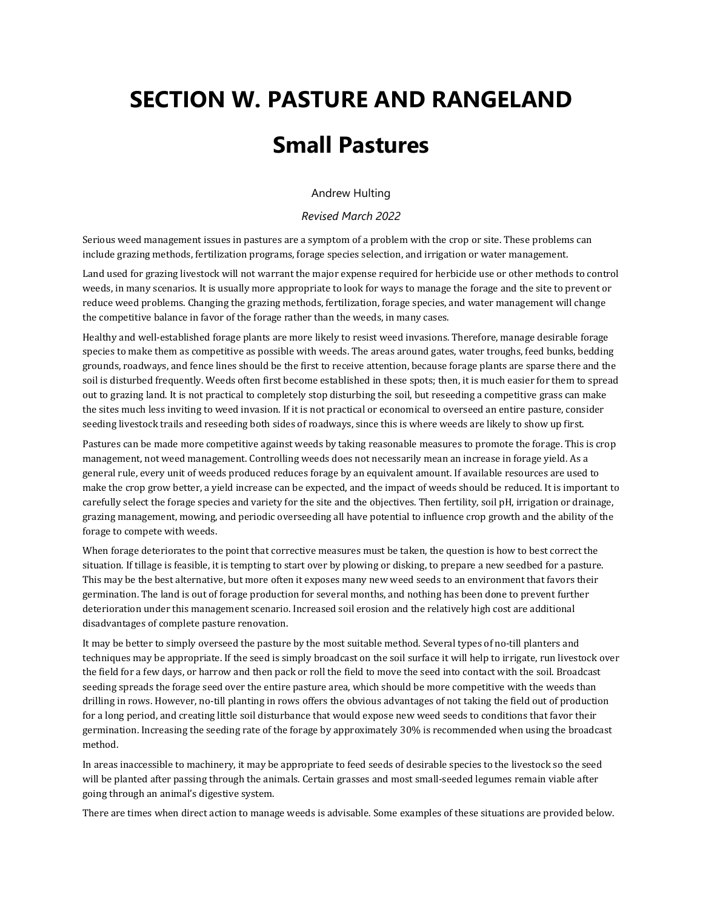# **SECTION W. PASTURE AND RANGELAND Small Pastures**

Andrew Hulting

*Revised March 2022*

Serious weed management issues in pastures are a symptom of a problem with the crop or site. These problems can include grazing methods, fertilization programs, forage species selection, and irrigation or water management.

Land used for grazing livestock will not warrant the major expense required for herbicide use or other methods to control weeds, in many scenarios. It is usually more appropriate to look for ways to manage the forage and the site to prevent or reduce weed problems. Changing the grazing methods, fertilization, forage species, and water management will change the competitive balance in favor of the forage rather than the weeds, in many cases.

Healthy and well-established forage plants are more likely to resist weed invasions. Therefore, manage desirable forage species to make them as competitive as possible with weeds. The areas around gates, water troughs, feed bunks, bedding grounds, roadways, and fence lines should be the first to receive attention, because forage plants are sparse there and the soil is disturbed frequently. Weeds often first become established in these spots; then, it is much easier for them to spread out to grazing land. It is not practical to completely stop disturbing the soil, but reseeding a competitive grass can make the sites much less inviting to weed invasion. If it is not practical or economical to overseed an entire pasture, consider seeding livestock trails and reseeding both sides of roadways, since this is where weeds are likely to show up first.

Pastures can be made more competitive against weeds by taking reasonable measures to promote the forage. This is crop management, not weed management. Controlling weeds does not necessarily mean an increase in forage yield. As a general rule, every unit of weeds produced reduces forage by an equivalent amount. If available resources are used to make the crop grow better, a yield increase can be expected, and the impact of weeds should be reduced. It is important to carefully select the forage species and variety for the site and the objectives. Then fertility, soil pH, irrigation or drainage, grazing management, mowing, and periodic overseeding all have potential to influence crop growth and the ability of the forage to compete with weeds.

When forage deteriorates to the point that corrective measures must be taken, the question is how to best correct the situation. If tillage is feasible, it is tempting to start over by plowing or disking, to prepare a new seedbed for a pasture. This may be the best alternative, but more often it exposes many new weed seeds to an environment that favors their germination. The land is out of forage production for several months, and nothing has been done to prevent further deterioration under this management scenario. Increased soil erosion and the relatively high cost are additional disadvantages of complete pasture renovation.

It may be better to simply overseed the pasture by the most suitable method. Several types of no-till planters and techniques may be appropriate. If the seed is simply broadcast on the soil surface it will help to irrigate, run livestock over the field for a few days, or harrow and then pack or roll the field to move the seed into contact with the soil. Broadcast seeding spreads the forage seed over the entire pasture area, which should be more competitive with the weeds than drilling in rows. However, no-till planting in rows offers the obvious advantages of not taking the field out of production for a long period, and creating little soil disturbance that would expose new weed seeds to conditions that favor their germination. Increasing the seeding rate of the forage by approximately 30% is recommended when using the broadcast method.

In areas inaccessible to machinery, it may be appropriate to feed seeds of desirable species to the livestock so the seed will be planted after passing through the animals. Certain grasses and most small-seeded legumes remain viable after going through an animal's digestive system.

There are times when direct action to manage weeds is advisable. Some examples of these situations are provided below.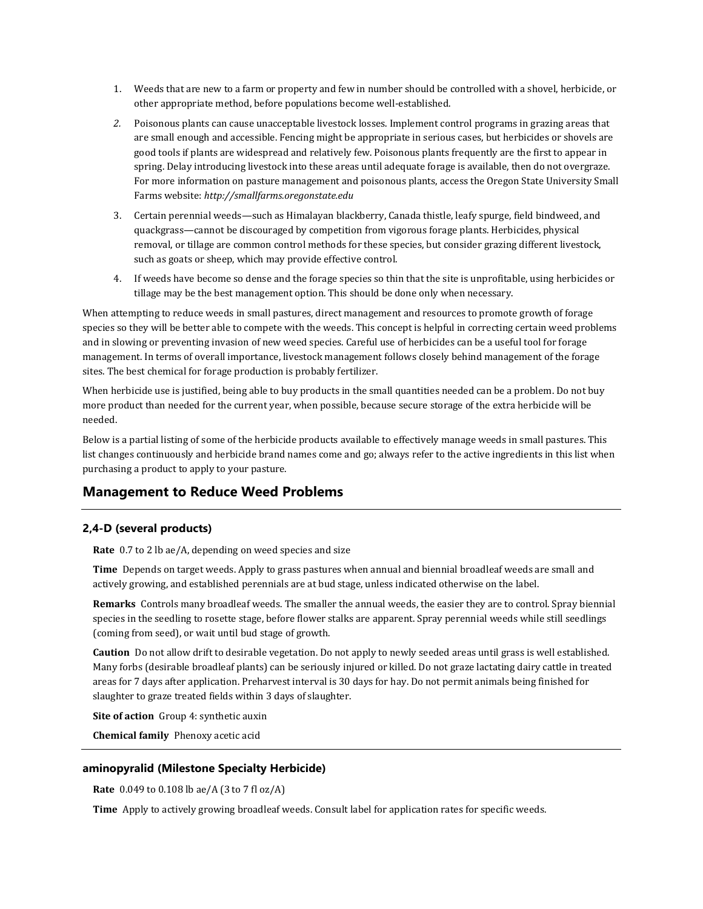- 1. Weeds that are new to a farm or property and few in number should be controlled with a shovel, herbicide, or other appropriate method, before populations become well-established.
- *2.* Poisonous plants can cause unacceptable livestock losses. Implement control programs in grazing areas that are small enough and accessible. Fencing might be appropriate in serious cases, but herbicides or shovels are good tools if plants are widespread and relatively few. Poisonous plants frequently are the first to appear in spring. Delay introducing livestock into these areas until adequate forage is available, then do not overgraze. For more information on pasture management and poisonous plants, access the Oregon State University Small Farms website: *http://smallfarms.oregonstate.edu*
- 3. Certain perennial weeds—such as Himalayan blackberry, Canada thistle, leafy spurge, field bindweed, and quackgrass—cannot be discouraged by competition from vigorous forage plants. Herbicides, physical removal, or tillage are common control methods for these species, but consider grazing different livestock, such as goats or sheep, which may provide effective control.
- 4. If weeds have become so dense and the forage species so thin that the site is unprofitable, using herbicides or tillage may be the best management option. This should be done only when necessary.

When attempting to reduce weeds in small pastures, direct management and resources to promote growth of forage species so they will be better able to compete with the weeds. This concept is helpful in correcting certain weed problems and in slowing or preventing invasion of new weed species. Careful use of herbicides can be a useful tool for forage management. In terms of overall importance, livestock management follows closely behind management of the forage sites. The best chemical for forage production is probably fertilizer.

When herbicide use is justified, being able to buy products in the small quantities needed can be a problem. Do not buy more product than needed for the current year, when possible, because secure storage of the extra herbicide will be needed.

Below is a partial listing of some of the herbicide products available to effectively manage weeds in small pastures. This list changes continuously and herbicide brand names come and go; always refer to the active ingredients in this list when purchasing a product to apply to your pasture.

# **Management to Reduce Weed Problems**

# **2,4-D (several products)**

**Rate** 0.7 to 2 lb ae/A, depending on weed species and size

**Time** Depends on target weeds. Apply to grass pastures when annual and biennial broadleaf weeds are small and actively growing, and established perennials are at bud stage, unless indicated otherwise on the label.

**Remarks** Controls many broadleaf weeds. The smaller the annual weeds, the easier they are to control. Spray biennial species in the seedling to rosette stage, before flower stalks are apparent. Spray perennial weeds while still seedlings (coming from seed), or wait until bud stage of growth.

**Caution** Do not allow drift to desirable vegetation. Do not apply to newly seeded areas until grass is well established. Many forbs (desirable broadleaf plants) can be seriously injured or killed. Do not graze lactating dairy cattle in treated areas for 7 days after application. Preharvest interval is 30 days for hay. Do not permit animals being finished for slaughter to graze treated fields within 3 days of slaughter.

**Site of action** Group 4: synthetic auxin

**Chemical family** Phenoxy acetic acid

# **aminopyralid (Milestone Specialty Herbicide)**

**Rate** 0.049 to 0.108 lb ae/A (3 to 7 fl oz/A)

**Time** Apply to actively growing broadleaf weeds. Consult label for application rates for specific weeds.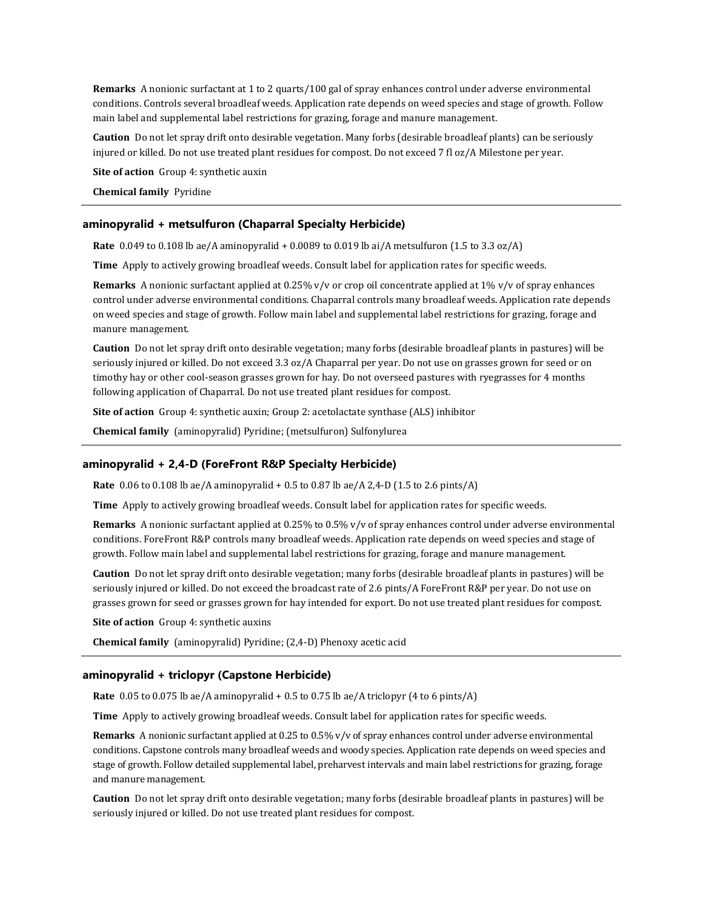**Remarks** A nonionic surfactant at 1 to 2 quarts/100 gal of spray enhances control under adverse environmental conditions. Controls several broadleaf weeds. Application rate depends on weed species and stage of growth. Follow main label and supplemental label restrictions for grazing, forage and manure management.

**Caution** Do not let spray drift onto desirable vegetation. Many forbs (desirable broadleaf plants) can be seriously injured or killed. Do not use treated plant residues for compost. Do not exceed 7 fl oz/A Milestone per year.

**Site of action** Group 4: synthetic auxin

**Chemical family** Pyridine

#### **aminopyralid + metsulfuron (Chaparral Specialty Herbicide)**

**Rate** 0.049 to 0.108 lb ae/A aminopyralid + 0.0089 to 0.019 lb ai/A metsulfuron (1.5 to 3.3 oz/A)

**Time** Apply to actively growing broadleaf weeds. Consult label for application rates for specific weeds.

**Remarks** A nonionic surfactant applied at 0.25% v/v or crop oil concentrate applied at 1% v/v of spray enhances control under adverse environmental conditions. Chaparral controls many broadleaf weeds. Application rate depends on weed species and stage of growth. Follow main label and supplemental label restrictions for grazing, forage and manure management.

**Caution** Do not let spray drift onto desirable vegetation; many forbs (desirable broadleaf plants in pastures) will be seriously injured or killed. Do not exceed 3.3 oz/A Chaparral per year. Do not use on grasses grown for seed or on timothy hay or other cool-season grasses grown for hay. Do not overseed pastures with ryegrasses for 4 months following application of Chaparral. Do not use treated plant residues for compost.

**Site of action** Group 4: synthetic auxin; Group 2: acetolactate synthase (ALS) inhibitor

**Chemical family** (aminopyralid) Pyridine; (metsulfuron) Sulfonylurea

#### **aminopyralid + 2,4-D (ForeFront R&P Specialty Herbicide)**

**Rate** 0.06 to 0.108 lb ae/A aminopyralid + 0.5 to 0.87 lb ae/A 2,4-D (1.5 to 2.6 pints/A)

**Time** Apply to actively growing broadleaf weeds. Consult label for application rates for specific weeds.

**Remarks** A nonionic surfactant applied at 0.25% to 0.5% v/v of spray enhances control under adverse environmental conditions. ForeFront R&P controls many broadleaf weeds. Application rate depends on weed species and stage of growth. Follow main label and supplemental label restrictions for grazing, forage and manure management.

**Caution** Do not let spray drift onto desirable vegetation; many forbs (desirable broadleaf plants in pastures) will be seriously injured or killed. Do not exceed the broadcast rate of 2.6 pints/A ForeFront R&P per year. Do not use on grasses grown for seed or grasses grown for hay intended for export. Do not use treated plant residues for compost.

**Site of action** Group 4: synthetic auxins

**Chemical family** (aminopyralid) Pyridine; (2,4-D) Phenoxy acetic acid

#### **aminopyralid + triclopyr (Capstone Herbicide)**

**Rate** 0.05 to 0.075 lb ae/A aminopyralid + 0.5 to 0.75 lb ae/A triclopyr (4 to 6 pints/A)

**Time** Apply to actively growing broadleaf weeds. Consult label for application rates for specific weeds.

**Remarks** A nonionic surfactant applied at 0.25 to 0.5% v/v of spray enhances control under adverse environmental conditions. Capstone controls many broadleaf weeds and woody species. Application rate depends on weed species and stage of growth. Follow detailed supplemental label, preharvest intervals and main label restrictions for grazing, forage and manure management.

**Caution** Do not let spray drift onto desirable vegetation; many forbs (desirable broadleaf plants in pastures) will be seriously injured or killed. Do not use treated plant residues for compost.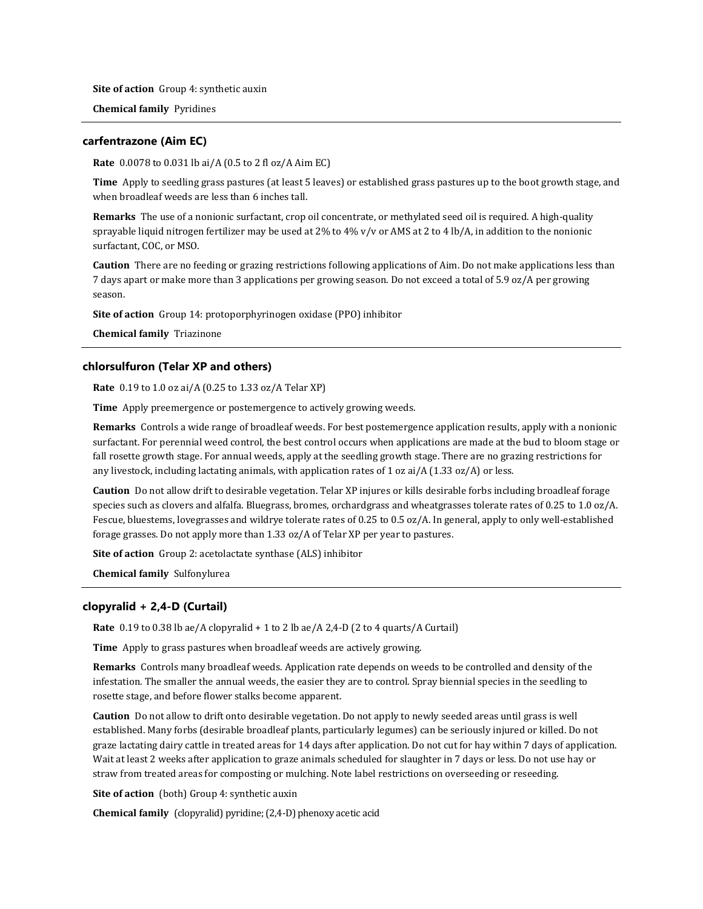**Site of action** Group 4: synthetic auxin

**Chemical family** Pyridines

# **carfentrazone (Aim EC)**

**Rate** 0.0078 to 0.031 lb ai/A (0.5 to 2 fl oz/A Aim EC)

**Time** Apply to seedling grass pastures (at least 5 leaves) or established grass pastures up to the boot growth stage, and when broadleaf weeds are less than 6 inches tall.

**Remarks** The use of a nonionic surfactant, crop oil concentrate, or methylated seed oil is required. A high-quality sprayable liquid nitrogen fertilizer may be used at 2% to 4% v/v or AMS at 2 to 4 lb/A, in addition to the nonionic surfactant, COC, or MSO.

**Caution** There are no feeding or grazing restrictions following applications of Aim. Do not make applications less than 7 days apart or make more than 3 applications per growing season. Do not exceed a total of 5.9 oz/A per growing season.

**Site of action** Group 14: protoporphyrinogen oxidase (PPO) inhibitor

**Chemical family** Triazinone

#### **chlorsulfuron (Telar XP and others)**

**Rate** 0.19 to 1.0 oz ai/A (0.25 to 1.33 oz/A Telar XP)

**Time** Apply preemergence or postemergence to actively growing weeds.

**Remarks** Controls a wide range of broadleaf weeds. For best postemergence application results, apply with a nonionic surfactant. For perennial weed control, the best control occurs when applications are made at the bud to bloom stage or fall rosette growth stage. For annual weeds, apply at the seedling growth stage. There are no grazing restrictions for any livestock, including lactating animals, with application rates of 1 oz ai/A (1.33 oz/A) or less.

**Caution** Do not allow drift to desirable vegetation. Telar XP injures or kills desirable forbs including broadleaf forage species such as clovers and alfalfa. Bluegrass, bromes, orchardgrass and wheatgrasses tolerate rates of 0.25 to 1.0 oz/A. Fescue, bluestems, lovegrasses and wildrye tolerate rates of 0.25 to 0.5 oz/A. In general, apply to only well-established forage grasses. Do not apply more than 1.33 oz/A of Telar XP per year to pastures.

**Site of action** Group 2: acetolactate synthase (ALS) inhibitor

**Chemical family** Sulfonylurea

# **clopyralid + 2,4-D (Curtail)**

**Rate** 0.19 to 0.38 lb ae/A clopyralid + 1 to 2 lb ae/A 2,4-D (2 to 4 quarts/A Curtail)

**Time** Apply to grass pastures when broadleaf weeds are actively growing.

**Remarks** Controls many broadleaf weeds. Application rate depends on weeds to be controlled and density of the infestation. The smaller the annual weeds, the easier they are to control. Spray biennial species in the seedling to rosette stage, and before flower stalks become apparent.

**Caution** Do not allow to drift onto desirable vegetation. Do not apply to newly seeded areas until grass is well established. Many forbs (desirable broadleaf plants, particularly legumes) can be seriously injured or killed. Do not graze lactating dairy cattle in treated areas for 14 days after application. Do not cut for hay within 7 days of application. Wait at least 2 weeks after application to graze animals scheduled for slaughter in 7 days or less. Do not use hay or straw from treated areas for composting or mulching. Note label restrictions on overseeding or reseeding.

**Site of action** (both) Group 4: synthetic auxin

**Chemical family** (clopyralid) pyridine; (2,4-D) phenoxy acetic acid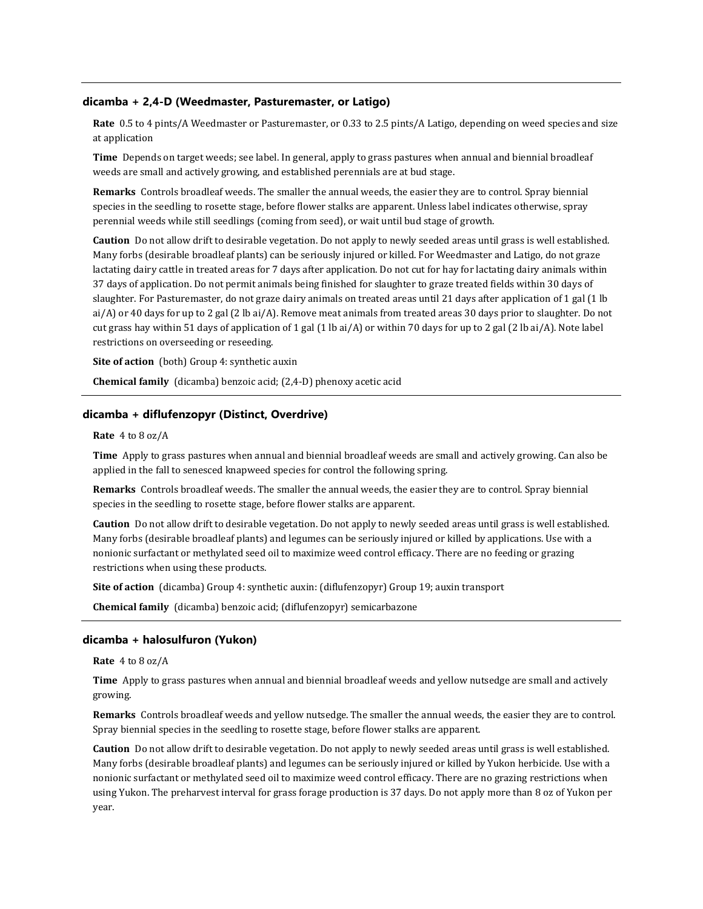#### **dicamba + 2,4-D (Weedmaster, Pasturemaster, or Latigo)**

**Rate** 0.5 to 4 pints/A Weedmaster or Pasturemaster, or 0.33 to 2.5 pints/A Latigo, depending on weed species and size at application

**Time** Depends on target weeds; see label. In general, apply to grass pastures when annual and biennial broadleaf weeds are small and actively growing, and established perennials are at bud stage.

**Remarks** Controls broadleaf weeds. The smaller the annual weeds, the easier they are to control. Spray biennial species in the seedling to rosette stage, before flower stalks are apparent. Unless label indicates otherwise, spray perennial weeds while still seedlings (coming from seed), or wait until bud stage of growth.

**Caution** Do not allow drift to desirable vegetation. Do not apply to newly seeded areas until grass is well established. Many forbs (desirable broadleaf plants) can be seriously injured or killed. For Weedmaster and Latigo, do not graze lactating dairy cattle in treated areas for 7 days after application. Do not cut for hay for lactating dairy animals within 37 days of application. Do not permit animals being finished for slaughter to graze treated fields within 30 days of slaughter. For Pasturemaster, do not graze dairy animals on treated areas until 21 days after application of 1 gal (1 lb ai/A) or 40 days for up to 2 gal (2 lb ai/A). Remove meat animals from treated areas 30 days prior to slaughter. Do not cut grass hay within 51 days of application of 1 gal (1 lb ai/A) or within 70 days for up to 2 gal (2 lb ai/A). Note label restrictions on overseeding or reseeding.

**Site of action** (both) Group 4: synthetic auxin

**Chemical family** (dicamba) benzoic acid; (2,4-D) phenoxy acetic acid

#### **dicamba + diflufenzopyr (Distinct, Overdrive)**

**Rate** 4 to 8 oz/A

**Time** Apply to grass pastures when annual and biennial broadleaf weeds are small and actively growing. Can also be applied in the fall to senesced knapweed species for control the following spring.

**Remarks** Controls broadleaf weeds. The smaller the annual weeds, the easier they are to control. Spray biennial species in the seedling to rosette stage, before flower stalks are apparent.

**Caution** Do not allow drift to desirable vegetation. Do not apply to newly seeded areas until grass is well established. Many forbs (desirable broadleaf plants) and legumes can be seriously injured or killed by applications. Use with a nonionic surfactant or methylated seed oil to maximize weed control efficacy. There are no feeding or grazing restrictions when using these products.

**Site of action** (dicamba) Group 4: synthetic auxin: (diflufenzopyr) Group 19; auxin transport

**Chemical family** (dicamba) benzoic acid; (diflufenzopyr) semicarbazone

#### **dicamba + halosulfuron (Yukon)**

**Rate** 4 to 8 oz/A

**Time** Apply to grass pastures when annual and biennial broadleaf weeds and yellow nutsedge are small and actively growing.

**Remarks** Controls broadleaf weeds and yellow nutsedge. The smaller the annual weeds, the easier they are to control. Spray biennial species in the seedling to rosette stage, before flower stalks are apparent.

**Caution** Do not allow drift to desirable vegetation. Do not apply to newly seeded areas until grass is well established. Many forbs (desirable broadleaf plants) and legumes can be seriously injured or killed by Yukon herbicide. Use with a nonionic surfactant or methylated seed oil to maximize weed control efficacy. There are no grazing restrictions when using Yukon. The preharvest interval for grass forage production is 37 days. Do not apply more than 8 oz of Yukon per year.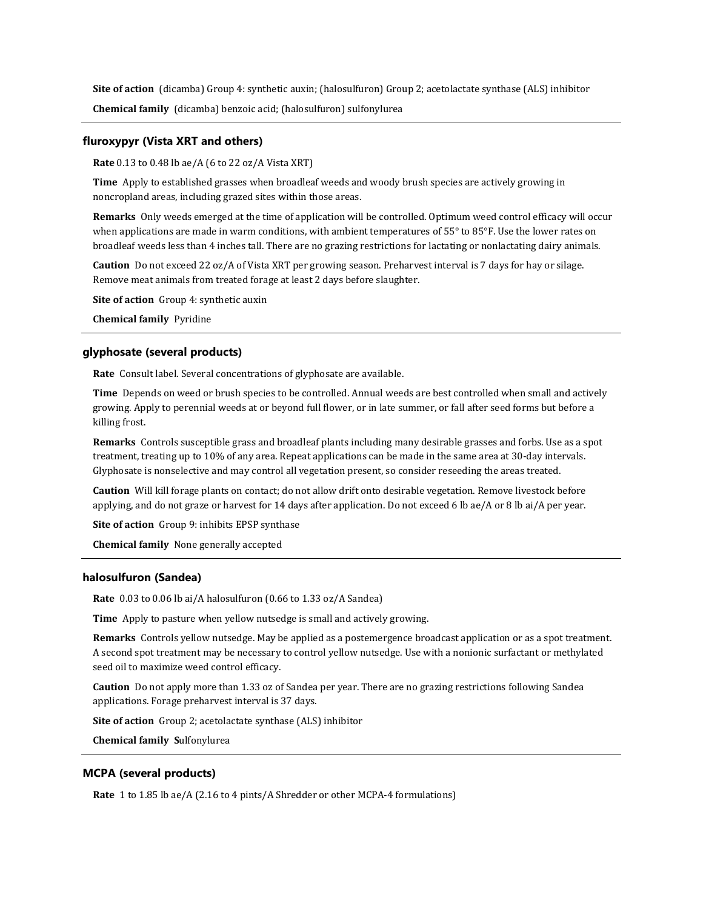**Site of action** (dicamba) Group 4: synthetic auxin; (halosulfuron) Group 2; acetolactate synthase (ALS) inhibitor **Chemical family** (dicamba) benzoic acid; (halosulfuron) sulfonylurea

# **fluroxypyr (Vista XRT and others)**

**Rate** 0.13 to 0.48 lb ae/A (6 to 22 oz/A Vista XRT)

**Time** Apply to established grasses when broadleaf weeds and woody brush species are actively growing in noncropland areas, including grazed sites within those areas.

**Remarks** Only weeds emerged at the time of application will be controlled. Optimum weed control efficacy will occur when applications are made in warm conditions, with ambient temperatures of 55° to 85°F. Use the lower rates on broadleaf weeds less than 4 inches tall. There are no grazing restrictions for lactating or nonlactating dairy animals.

**Caution** Do not exceed 22 oz/A of Vista XRT per growing season. Preharvest interval is 7 days for hay or silage. Remove meat animals from treated forage at least 2 days before slaughter.

**Site of action** Group 4: synthetic auxin

**Chemical family** Pyridine

# **glyphosate (several products)**

**Rate** Consult label. Several concentrations of glyphosate are available.

**Time** Depends on weed or brush species to be controlled. Annual weeds are best controlled when small and actively growing. Apply to perennial weeds at or beyond full flower, or in late summer, or fall after seed forms but before a killing frost.

**Remarks** Controls susceptible grass and broadleaf plants including many desirable grasses and forbs. Use as a spot treatment, treating up to 10% of any area. Repeat applications can be made in the same area at 30-day intervals. Glyphosate is nonselective and may control all vegetation present, so consider reseeding the areas treated.

**Caution** Will kill forage plants on contact; do not allow drift onto desirable vegetation. Remove livestock before applying, and do not graze or harvest for 14 days after application. Do not exceed 6 lb ae/A or 8 lb ai/A per year.

**Site of action** Group 9: inhibits EPSP synthase

**Chemical family** None generally accepted

#### **halosulfuron (Sandea)**

**Rate** 0.03 to 0.06 lb ai/A halosulfuron (0.66 to 1.33 oz/A Sandea)

**Time** Apply to pasture when yellow nutsedge is small and actively growing.

**Remarks** Controls yellow nutsedge. May be applied as a postemergence broadcast application or as a spot treatment. A second spot treatment may be necessary to control yellow nutsedge. Use with a nonionic surfactant or methylated seed oil to maximize weed control efficacy.

**Caution** Do not apply more than 1.33 oz of Sandea per year. There are no grazing restrictions following Sandea applications. Forage preharvest interval is 37 days.

**Site of action** Group 2; acetolactate synthase (ALS) inhibitor

**Chemical family S**ulfonylurea

# **MCPA (several products)**

**Rate** 1 to 1.85 lb ae/A (2.16 to 4 pints/A Shredder or other MCPA-4 formulations)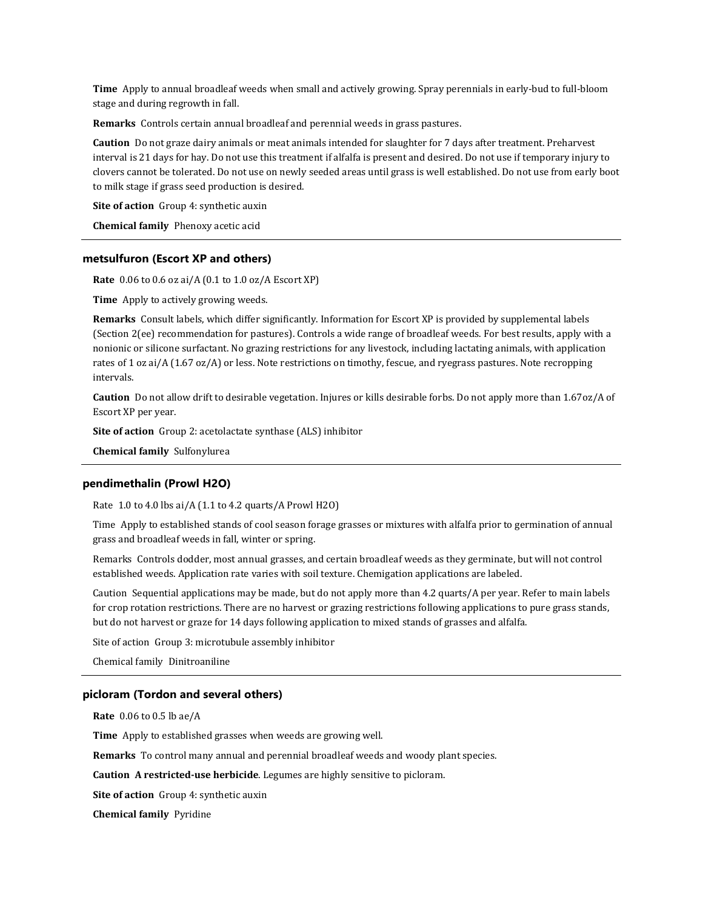**Time** Apply to annual broadleaf weeds when small and actively growing. Spray perennials in early-bud to full-bloom stage and during regrowth in fall.

**Remarks** Controls certain annual broadleaf and perennial weeds in grass pastures.

**Caution** Do not graze dairy animals or meat animals intended for slaughter for 7 days after treatment. Preharvest interval is 21 days for hay. Do not use this treatment if alfalfa is present and desired. Do not use if temporary injury to clovers cannot be tolerated. Do not use on newly seeded areas until grass is well established. Do not use from early boot to milk stage if grass seed production is desired.

**Site of action** Group 4: synthetic auxin

**Chemical family** Phenoxy acetic acid

# **metsulfuron (Escort XP and others)**

**Rate** 0.06 to 0.6 oz ai/A (0.1 to 1.0 oz/A Escort XP)

**Time** Apply to actively growing weeds.

**Remarks** Consult labels, which differ significantly. Information for Escort XP is provided by supplemental labels (Section 2(ee) recommendation for pastures). Controls a wide range of broadleaf weeds. For best results, apply with a nonionic or silicone surfactant. No grazing restrictions for any livestock, including lactating animals, with application rates of 1 oz ai/A (1.67 oz/A) or less. Note restrictions on timothy, fescue, and ryegrass pastures. Note recropping intervals.

**Caution** Do not allow drift to desirable vegetation. Injures or kills desirable forbs. Do not apply more than 1.67oz/A of Escort XP per year.

**Site of action** Group 2: acetolactate synthase (ALS) inhibitor

**Chemical family** Sulfonylurea

#### **pendimethalin (Prowl H2O)**

Rate 1.0 to 4.0 lbs ai/A (1.1 to 4.2 quarts/A Prowl H2O)

Time Apply to established stands of cool season forage grasses or mixtures with alfalfa prior to germination of annual grass and broadleaf weeds in fall, winter or spring.

Remarks Controls dodder, most annual grasses, and certain broadleaf weeds as they germinate, but will not control established weeds. Application rate varies with soil texture. Chemigation applications are labeled.

Caution Sequential applications may be made, but do not apply more than 4.2 quarts/A per year. Refer to main labels for crop rotation restrictions. There are no harvest or grazing restrictions following applications to pure grass stands, but do not harvest or graze for 14 days following application to mixed stands of grasses and alfalfa.

Site of action Group 3: microtubule assembly inhibitor

Chemical family Dinitroaniline

# **picloram (Tordon and several others)**

**Rate** 0.06 to 0.5 lb ae/A

**Time** Apply to established grasses when weeds are growing well.

**Remarks** To control many annual and perennial broadleaf weeds and woody plant species.

**Caution A restricted-use herbicide**. Legumes are highly sensitive to picloram.

**Site of action** Group 4: synthetic auxin

**Chemical family** Pyridine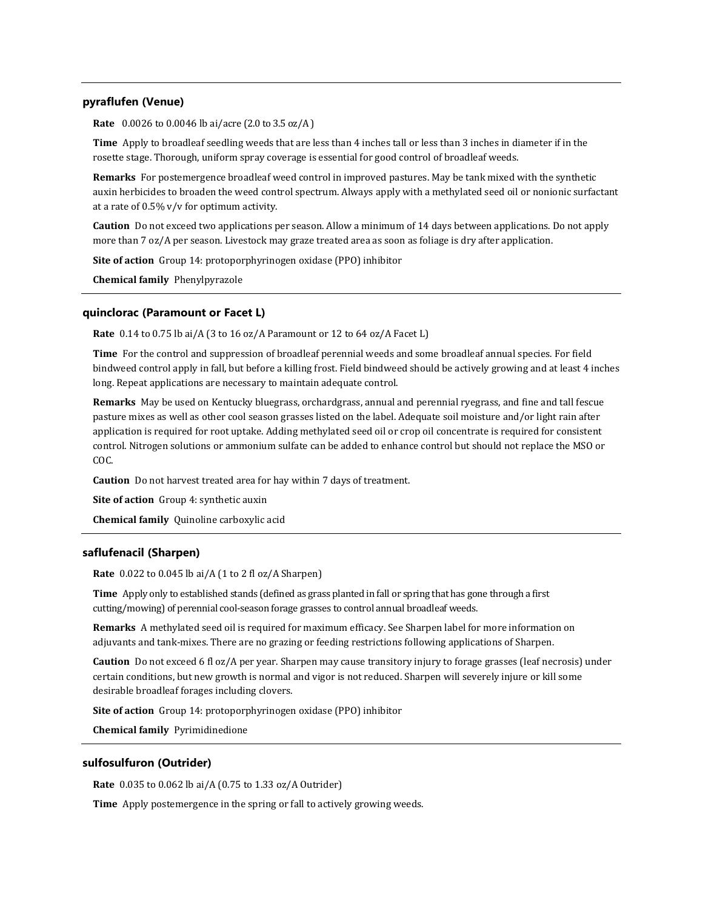# **pyraflufen (Venue)**

**Rate** 0.0026 to 0.0046 lb ai/acre (2.0 to 3.5 oz/A )

**Time** Apply to broadleaf seedling weeds that are less than 4 inches tall or less than 3 inches in diameter if in the rosette stage. Thorough, uniform spray coverage is essential for good control of broadleaf weeds.

**Remarks** For postemergence broadleaf weed control in improved pastures. May be tank mixed with the synthetic auxin herbicides to broaden the weed control spectrum. Always apply with a methylated seed oil or nonionic surfactant at a rate of 0.5% v/v for optimum activity.

**Caution** Do not exceed two applications per season. Allow a minimum of 14 days between applications. Do not apply more than 7 oz/A per season. Livestock may graze treated area as soon as foliage is dry after application.

**Site of action** Group 14: protoporphyrinogen oxidase (PPO) inhibitor

**Chemical family** Phenylpyrazole

#### **quinclorac (Paramount or Facet L)**

**Rate** 0.14 to 0.75 lb ai/A (3 to 16 oz/A Paramount or 12 to 64 oz/A Facet L)

**Time** For the control and suppression of broadleaf perennial weeds and some broadleaf annual species. For field bindweed control apply in fall, but before a killing frost. Field bindweed should be actively growing and at least 4 inches long. Repeat applications are necessary to maintain adequate control.

**Remarks** May be used on Kentucky bluegrass, orchardgrass, annual and perennial ryegrass, and fine and tall fescue pasture mixes as well as other cool season grasses listed on the label. Adequate soil moisture and/or light rain after application is required for root uptake. Adding methylated seed oil or crop oil concentrate is required for consistent control. Nitrogen solutions or ammonium sulfate can be added to enhance control but should not replace the MSO or COC.

**Caution** Do not harvest treated area for hay within 7 days of treatment.

**Site of action** Group 4: synthetic auxin

**Chemical family** Quinoline carboxylic acid

### **saflufenacil (Sharpen)**

**Rate** 0.022 to 0.045 lb ai/A (1 to 2 fl oz/A Sharpen)

**Time** Apply only to established stands (defined as grass planted in fall or spring that has gone through a first cutting/mowing) of perennial cool-season forage grasses to control annual broadleaf weeds.

**Remarks** A methylated seed oil is required for maximum efficacy. See Sharpen label for more information on adjuvants and tank-mixes. There are no grazing or feeding restrictions following applications of Sharpen.

**Caution** Do not exceed 6 fl oz/A per year. Sharpen may cause transitory injury to forage grasses (leaf necrosis) under certain conditions, but new growth is normal and vigor is not reduced. Sharpen will severely injure or kill some desirable broadleaf forages including clovers.

**Site of action** Group 14: protoporphyrinogen oxidase (PPO) inhibitor

**Chemical family** Pyrimidinedione

#### **sulfosulfuron (Outrider)**

**Rate** 0.035 to 0.062 lb ai/A (0.75 to 1.33 oz/A Outrider)

**Time** Apply postemergence in the spring or fall to actively growing weeds.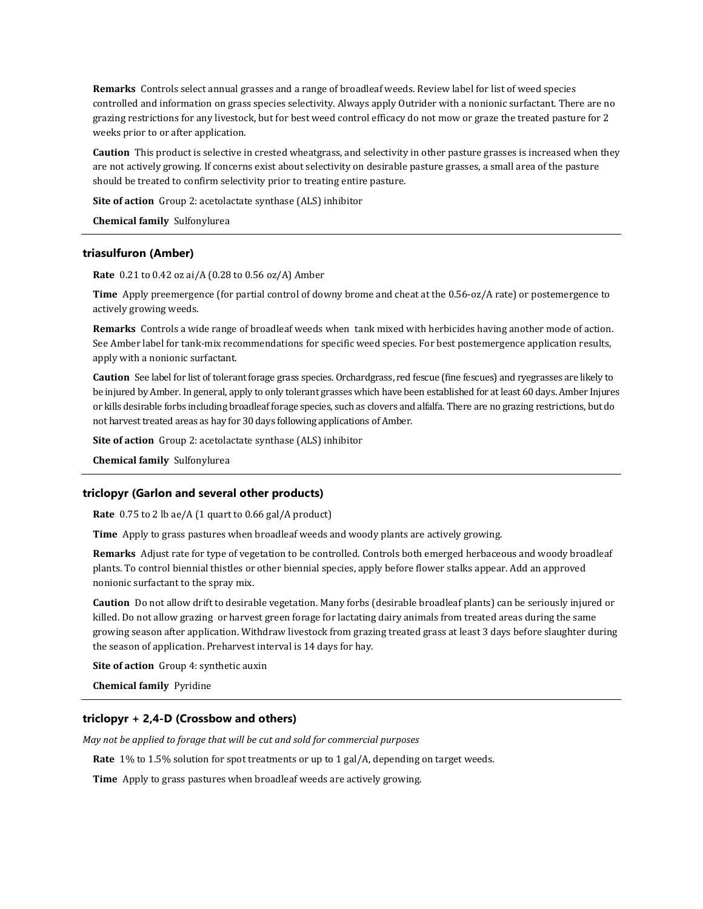**Remarks** Controls select annual grasses and a range of broadleaf weeds. Review label for list of weed species controlled and information on grass species selectivity. Always apply Outrider with a nonionic surfactant. There are no grazing restrictions for any livestock, but for best weed control efficacy do not mow or graze the treated pasture for 2 weeks prior to or after application.

**Caution** This product is selective in crested wheatgrass, and selectivity in other pasture grasses is increased when they are not actively growing. If concerns exist about selectivity on desirable pasture grasses, a small area of the pasture should be treated to confirm selectivity prior to treating entire pasture.

**Site of action** Group 2: acetolactate synthase (ALS) inhibitor

**Chemical family** Sulfonylurea

#### **triasulfuron (Amber)**

**Rate** 0.21 to 0.42 oz ai/A (0.28 to 0.56 oz/A) Amber

**Time** Apply preemergence (for partial control of downy brome and cheat at the 0.56-oz/A rate) or postemergence to actively growing weeds.

**Remarks** Controls a wide range of broadleaf weeds when tank mixed with herbicides having another mode of action. See Amber label for tank-mix recommendations for specific weed species. For best postemergence application results, apply with a nonionic surfactant.

**Caution** See label for list of tolerant forage grass species. Orchardgrass, red fescue (fine fescues) and ryegrasses are likely to be injured by Amber. In general, apply to only tolerant grasses which have been established for at least 60 days. Amber Injures or kills desirable forbs including broadleaf forage species, such as clovers and alfalfa. There are no grazing restrictions, but do not harvest treated areas as hay for 30 days following applications of Amber.

**Site of action** Group 2: acetolactate synthase (ALS) inhibitor

**Chemical family** Sulfonylurea

#### **triclopyr (Garlon and several other products)**

**Rate** 0.75 to 2 lb ae/A (1 quart to 0.66 gal/A product)

**Time** Apply to grass pastures when broadleaf weeds and woody plants are actively growing.

**Remarks** Adjust rate for type of vegetation to be controlled. Controls both emerged herbaceous and woody broadleaf plants. To control biennial thistles or other biennial species, apply before flower stalks appear. Add an approved nonionic surfactant to the spray mix.

**Caution** Do not allow drift to desirable vegetation. Many forbs (desirable broadleaf plants) can be seriously injured or killed. Do not allow grazing or harvest green forage for lactating dairy animals from treated areas during the same growing season after application. Withdraw livestock from grazing treated grass at least 3 days before slaughter during the season of application. Preharvest interval is 14 days for hay.

**Site of action** Group 4: synthetic auxin

**Chemical family** Pyridine

# **triclopyr + 2,4-D (Crossbow and others)**

*May not be applied to forage that will be cut and sold for commercial purposes*

**Rate** 1% to 1.5% solution for spot treatments or up to 1 gal/A, depending on target weeds.

**Time** Apply to grass pastures when broadleaf weeds are actively growing.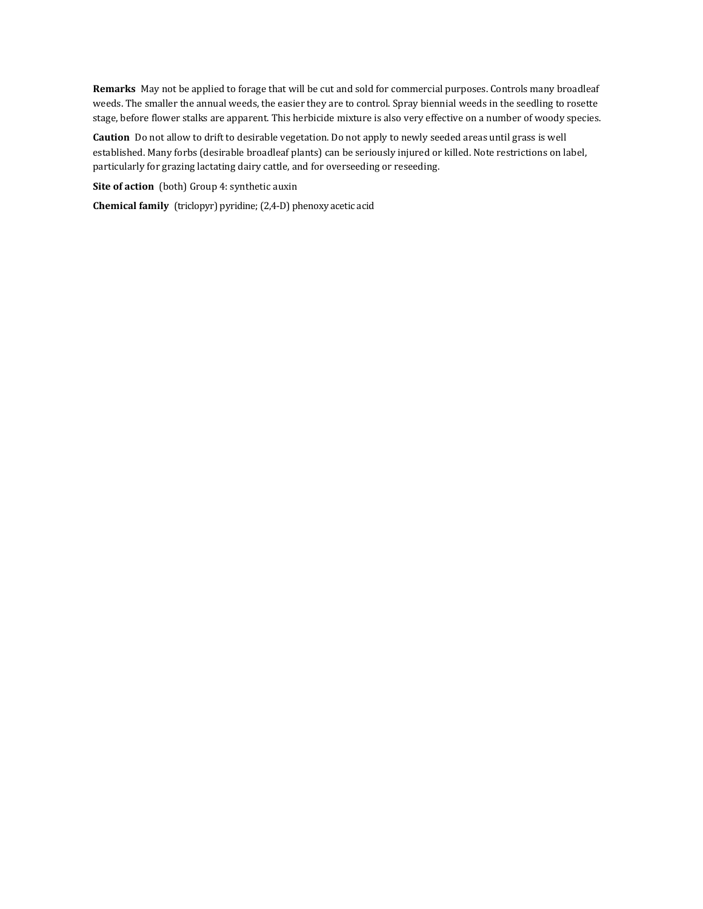**Remarks** May not be applied to forage that will be cut and sold for commercial purposes. Controls many broadleaf weeds. The smaller the annual weeds, the easier they are to control. Spray biennial weeds in the seedling to rosette stage, before flower stalks are apparent. This herbicide mixture is also very effective on a number of woody species.

**Caution** Do not allow to drift to desirable vegetation. Do not apply to newly seeded areas until grass is well established. Many forbs (desirable broadleaf plants) can be seriously injured or killed. Note restrictions on label, particularly for grazing lactating dairy cattle, and for overseeding or reseeding.

**Site of action** (both) Group 4: synthetic auxin

**Chemical family** (triclopyr) pyridine; (2,4-D) phenoxy acetic acid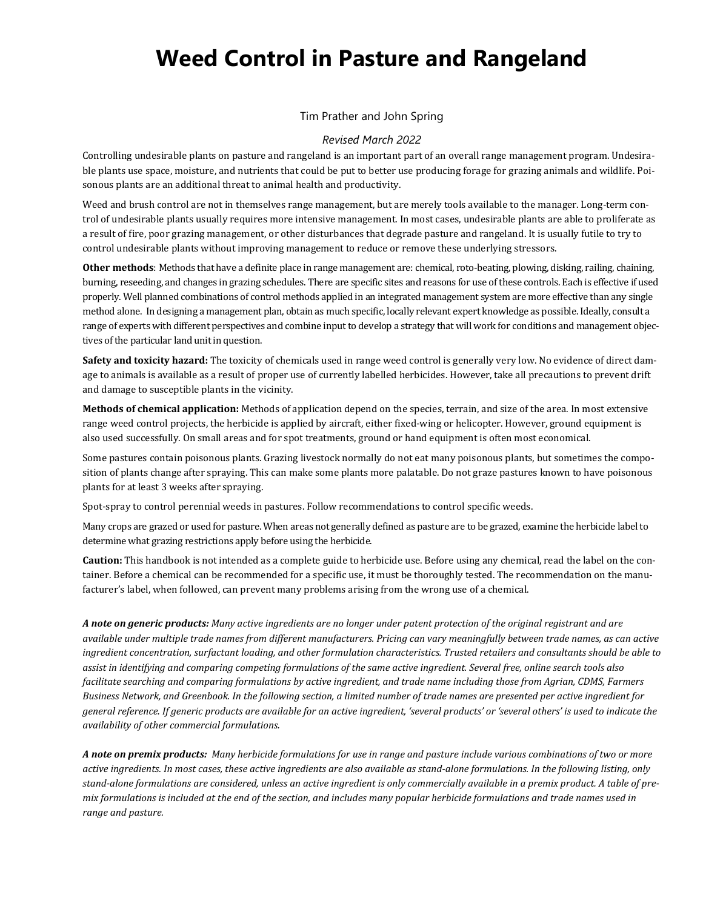# **Weed Control in Pasture and Rangeland**

# Tim Prather and John Spring

# *Revised March 2022*

Controlling undesirable plants on pasture and rangeland is an important part of an overall range management program. Undesirable plants use space, moisture, and nutrients that could be put to better use producing forage for grazing animals and wildlife. Poisonous plants are an additional threat to animal health and productivity.

Weed and brush control are not in themselves range management, but are merely tools available to the manager. Long-term control of undesirable plants usually requires more intensive management. In most cases, undesirable plants are able to proliferate as a result of fire, poor grazing management, or other disturbances that degrade pasture and rangeland. It is usually futile to try to control undesirable plants without improving management to reduce or remove these underlying stressors.

**Other methods**: Methods that have a definite place in range management are: chemical, roto-beating, plowing, disking, railing, chaining, burning, reseeding, and changes in grazing schedules. There are specific sites and reasons for use of these controls. Each is effective if used properly. Well planned combinations of control methods applied in an integrated management system are more effective than any single method alone. In designing a management plan, obtain as much specific, locally relevant expert knowledge as possible. Ideally, consult a range of experts with different perspectives and combine input to develop a strategy that will work for conditions and management objectives of the particular land unit in question.

**Safety and toxicity hazard:** The toxicity of chemicals used in range weed control is generally very low. No evidence of direct damage to animals is available as a result of proper use of currently labelled herbicides. However, take all precautions to prevent drift and damage to susceptible plants in the vicinity.

**Methods of chemical application:** Methods of application depend on the species, terrain, and size of the area. In most extensive range weed control projects, the herbicide is applied by aircraft, either fixed-wing or helicopter. However, ground equipment is also used successfully. On small areas and for spot treatments, ground or hand equipment is often most economical.

Some pastures contain poisonous plants. Grazing livestock normally do not eat many poisonous plants, but sometimes the composition of plants change after spraying. This can make some plants more palatable. Do not graze pastures known to have poisonous plants for at least 3 weeks after spraying.

Spot-spray to control perennial weeds in pastures. Follow recommendations to control specific weeds.

Many crops are grazed or used for pasture. When areas not generally defined as pasture are to be grazed, examine the herbicide label to determine what grazing restrictions apply before using the herbicide.

**Caution:** This handbook is not intended as a complete guide to herbicide use. Before using any chemical, read the label on the container. Before a chemical can be recommended for a specific use, it must be thoroughly tested. The recommendation on the manufacturer's label, when followed, can prevent many problems arising from the wrong use of a chemical.

*A note on generic products: Many active ingredients are no longer under patent protection of the original registrant and are available under multiple trade names from different manufacturers. Pricing can vary meaningfully between trade names, as can active ingredient concentration, surfactant loading, and other formulation characteristics. Trusted retailers and consultants should be able to assist in identifying and comparing competing formulations of the same active ingredient. Several free, online search tools also facilitate searching and comparing formulations by active ingredient, and trade name including those from Agrian, CDMS, Farmers Business Network, and Greenbook. In the following section, a limited number of trade names are presented per active ingredient for general reference. If generic products are available for an active ingredient, 'several products' or 'several others' is used to indicate the availability of other commercial formulations.*

*A note on premix products: Many herbicide formulations for use in range and pasture include various combinations of two or more active ingredients. In most cases, these active ingredients are also available as stand-alone formulations. In the following listing, only stand-alone formulations are considered, unless an active ingredient is only commercially available in a premix product. A table of premix formulations is included at the end of the section, and includes many popular herbicide formulations and trade names used in range and pasture.*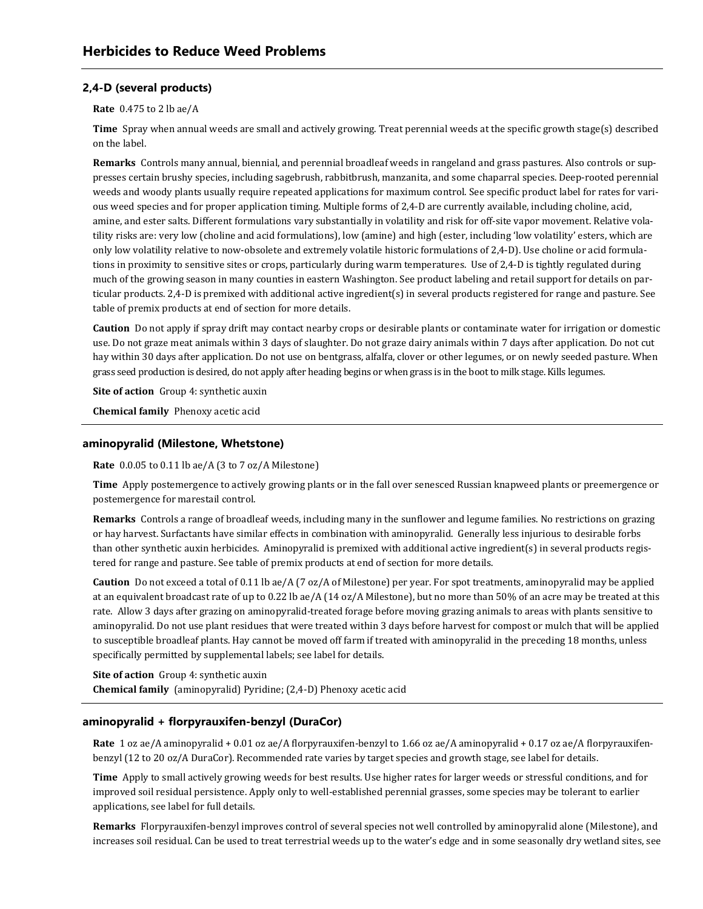# **2,4-D (several products)**

#### **Rate** 0.475 to 2 lb ae/A

**Time** Spray when annual weeds are small and actively growing. Treat perennial weeds at the specific growth stage(s) described on the label.

**Remarks** Controls many annual, biennial, and perennial broadleaf weeds in rangeland and grass pastures. Also controls or suppresses certain brushy species, including sagebrush, rabbitbrush, manzanita, and some chaparral species. Deep-rooted perennial weeds and woody plants usually require repeated applications for maximum control. See specific product label for rates for various weed species and for proper application timing. Multiple forms of 2,4-D are currently available, including choline, acid, amine, and ester salts. Different formulations vary substantially in volatility and risk for off-site vapor movement. Relative volatility risks are: very low (choline and acid formulations), low (amine) and high (ester, including 'low volatility' esters, which are only low volatility relative to now-obsolete and extremely volatile historic formulations of 2,4-D). Use choline or acid formulations in proximity to sensitive sites or crops, particularly during warm temperatures. Use of 2,4-D is tightly regulated during much of the growing season in many counties in eastern Washington. See product labeling and retail support for details on particular products. 2,4-D is premixed with additional active ingredient(s) in several products registered for range and pasture. See table of premix products at end of section for more details.

**Caution** Do not apply if spray drift may contact nearby crops or desirable plants or contaminate water for irrigation or domestic use. Do not graze meat animals within 3 days of slaughter. Do not graze dairy animals within 7 days after application. Do not cut hay within 30 days after application. Do not use on bentgrass, alfalfa, clover or other legumes, or on newly seeded pasture. When grass seed production is desired, do not apply after heading begins or when grass is in the boot to milk stage. Kills legumes.

**Site of action** Group 4: synthetic auxin

**Chemical family** Phenoxy acetic acid

#### **aminopyralid (Milestone, Whetstone)**

**Rate** 0.0.05 to 0.11 lb ae/A (3 to 7 oz/A Milestone)

**Time** Apply postemergence to actively growing plants or in the fall over senesced Russian knapweed plants or preemergence or postemergence for marestail control.

**Remarks** Controls a range of broadleaf weeds, including many in the sunflower and legume families. No restrictions on grazing or hay harvest. Surfactants have similar effects in combination with aminopyralid. Generally less injurious to desirable forbs than other synthetic auxin herbicides. Aminopyralid is premixed with additional active ingredient(s) in several products registered for range and pasture. See table of premix products at end of section for more details.

**Caution** Do not exceed a total of 0.11 lb ae/A (7 oz/A of Milestone) per year. For spot treatments, aminopyralid may be applied at an equivalent broadcast rate of up to 0.22 lb ae/A (14 oz/A Milestone), but no more than 50% of an acre may be treated at this rate. Allow 3 days after grazing on aminopyralid-treated forage before moving grazing animals to areas with plants sensitive to aminopyralid. Do not use plant residues that were treated within 3 days before harvest for compost or mulch that will be applied to susceptible broadleaf plants. Hay cannot be moved off farm if treated with aminopyralid in the preceding 18 months, unless specifically permitted by supplemental labels; see label for details.

**Site of action** Group 4: synthetic auxin **Chemical family** (aminopyralid) Pyridine; (2,4-D) Phenoxy acetic acid

# **aminopyralid + florpyrauxifen-benzyl (DuraCor)**

**Rate** 1 oz ae/A aminopyralid + 0.01 oz ae/A florpyrauxifen-benzyl to 1.66 oz ae/A aminopyralid + 0.17 oz ae/A florpyrauxifenbenzyl (12 to 20 oz/A DuraCor). Recommended rate varies by target species and growth stage, see label for details.

**Time** Apply to small actively growing weeds for best results. Use higher rates for larger weeds or stressful conditions, and for improved soil residual persistence. Apply only to well-established perennial grasses, some species may be tolerant to earlier applications, see label for full details.

**Remarks** Florpyrauxifen-benzyl improves control of several species not well controlled by aminopyralid alone (Milestone), and increases soil residual. Can be used to treat terrestrial weeds up to the water's edge and in some seasonally dry wetland sites, see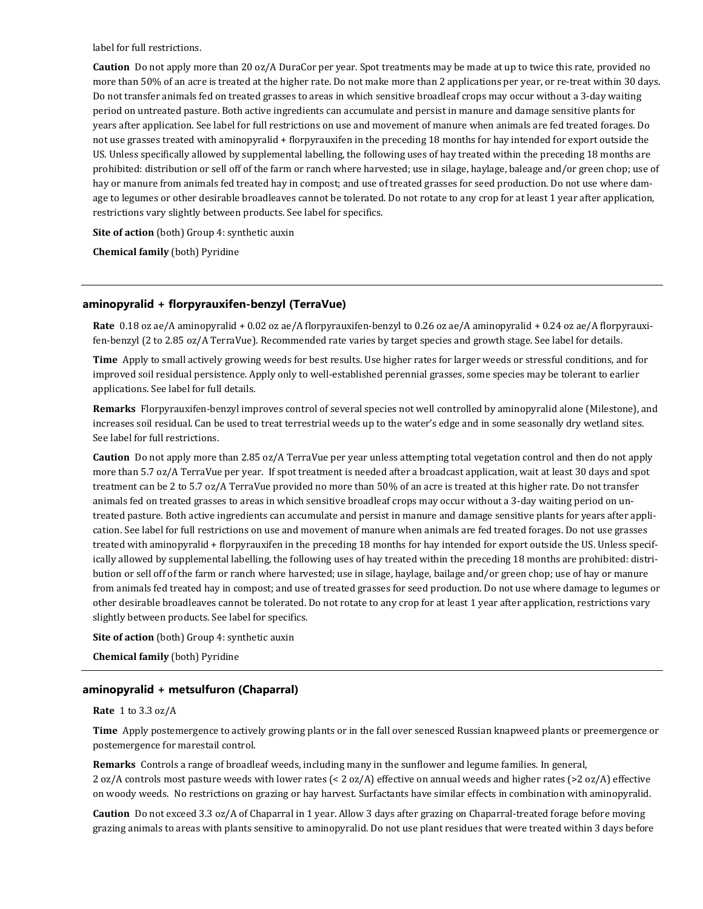label for full restrictions.

**Caution** Do not apply more than 20 oz/A DuraCor per year. Spot treatments may be made at up to twice this rate, provided no more than 50% of an acre is treated at the higher rate. Do not make more than 2 applications per year, or re-treat within 30 days. Do not transfer animals fed on treated grasses to areas in which sensitive broadleaf crops may occur without a 3-day waiting period on untreated pasture. Both active ingredients can accumulate and persist in manure and damage sensitive plants for years after application. See label for full restrictions on use and movement of manure when animals are fed treated forages. Do not use grasses treated with aminopyralid + florpyrauxifen in the preceding 18 months for hay intended for export outside the US. Unless specifically allowed by supplemental labelling, the following uses of hay treated within the preceding 18 months are prohibited: distribution or sell off of the farm or ranch where harvested; use in silage, haylage, baleage and/or green chop; use of hay or manure from animals fed treated hay in compost; and use of treated grasses for seed production. Do not use where damage to legumes or other desirable broadleaves cannot be tolerated. Do not rotate to any crop for at least 1 year after application, restrictions vary slightly between products. See label for specifics.

**Site of action** (both) Group 4: synthetic auxin

**Chemical family** (both) Pyridine

# **aminopyralid + florpyrauxifen-benzyl (TerraVue)**

**Rate** 0.18 oz ae/A aminopyralid + 0.02 oz ae/A florpyrauxifen-benzyl to 0.26 oz ae/A aminopyralid + 0.24 oz ae/A florpyrauxifen-benzyl (2 to 2.85 oz/A TerraVue). Recommended rate varies by target species and growth stage. See label for details.

**Time** Apply to small actively growing weeds for best results. Use higher rates for larger weeds or stressful conditions, and for improved soil residual persistence. Apply only to well-established perennial grasses, some species may be tolerant to earlier applications. See label for full details.

**Remarks** Florpyrauxifen-benzyl improves control of several species not well controlled by aminopyralid alone (Milestone), and increases soil residual. Can be used to treat terrestrial weeds up to the water's edge and in some seasonally dry wetland sites. See label for full restrictions.

**Caution** Do not apply more than 2.85 oz/A TerraVue per year unless attempting total vegetation control and then do not apply more than 5.7 oz/A TerraVue per year. If spot treatment is needed after a broadcast application, wait at least 30 days and spot treatment can be 2 to 5.7 oz/A TerraVue provided no more than 50% of an acre is treated at this higher rate. Do not transfer animals fed on treated grasses to areas in which sensitive broadleaf crops may occur without a 3-day waiting period on untreated pasture. Both active ingredients can accumulate and persist in manure and damage sensitive plants for years after application. See label for full restrictions on use and movement of manure when animals are fed treated forages. Do not use grasses treated with aminopyralid + florpyrauxifen in the preceding 18 months for hay intended for export outside the US. Unless specifically allowed by supplemental labelling, the following uses of hay treated within the preceding 18 months are prohibited: distribution or sell off of the farm or ranch where harvested; use in silage, haylage, bailage and/or green chop; use of hay or manure from animals fed treated hay in compost; and use of treated grasses for seed production. Do not use where damage to legumes or other desirable broadleaves cannot be tolerated. Do not rotate to any crop for at least 1 year after application, restrictions vary slightly between products. See label for specifics.

**Site of action** (both) Group 4: synthetic auxin

**Chemical family** (both) Pyridine

# **aminopyralid + metsulfuron (Chaparral)**

#### **Rate** 1 to 3.3 oz/A

**Time** Apply postemergence to actively growing plants or in the fall over senesced Russian knapweed plants or preemergence or postemergence for marestail control.

**Remarks** Controls a range of broadleaf weeds, including many in the sunflower and legume families. In general, 2 oz/A controls most pasture weeds with lower rates (< 2 oz/A) effective on annual weeds and higher rates (>2 oz/A) effective on woody weeds. No restrictions on grazing or hay harvest. Surfactants have similar effects in combination with aminopyralid.

**Caution** Do not exceed 3.3 oz/A of Chaparral in 1 year. Allow 3 days after grazing on Chaparral-treated forage before moving grazing animals to areas with plants sensitive to aminopyralid. Do not use plant residues that were treated within 3 days before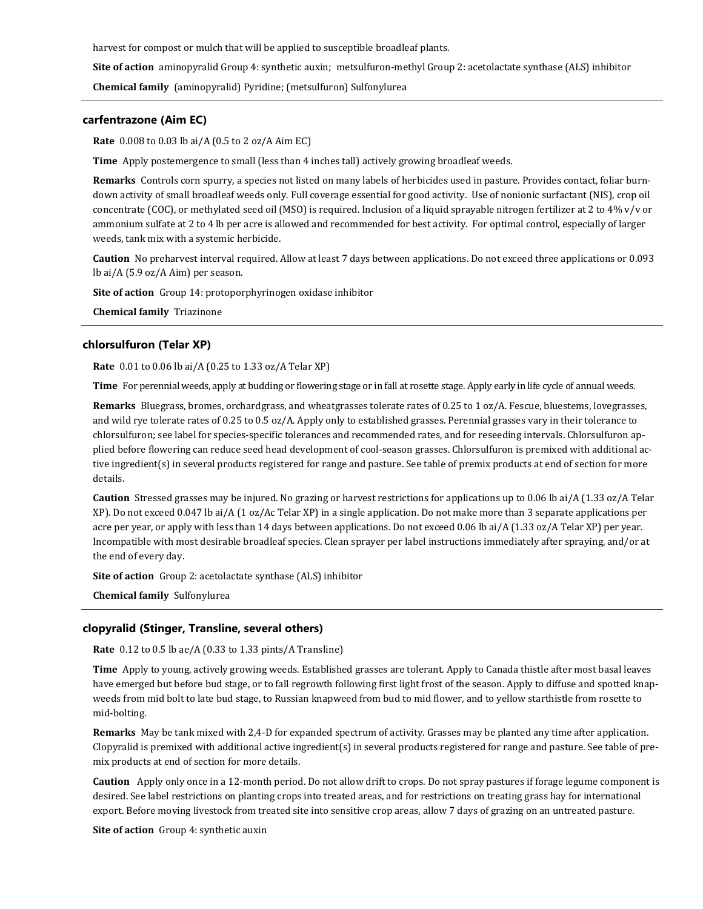harvest for compost or mulch that will be applied to susceptible broadleaf plants.

**Site of action** aminopyralid Group 4: synthetic auxin; metsulfuron-methyl Group 2: acetolactate synthase (ALS) inhibitor

**Chemical family** (aminopyralid) Pyridine; (metsulfuron) Sulfonylurea

### **carfentrazone (Aim EC)**

**Rate** 0.008 to 0.03 lb ai/A (0.5 to 2 oz/A Aim EC)

**Time** Apply postemergence to small (less than 4 inches tall) actively growing broadleaf weeds.

**Remarks** Controls corn spurry, a species not listed on many labels of herbicides used in pasture. Provides contact, foliar burndown activity of small broadleaf weeds only. Full coverage essential for good activity. Use of nonionic surfactant (NIS), crop oil concentrate (COC), or methylated seed oil (MSO) is required. Inclusion of a liquid sprayable nitrogen fertilizer at 2 to 4% v/v or ammonium sulfate at 2 to 4 lb per acre is allowed and recommended for best activity. For optimal control, especially of larger weeds, tank mix with a systemic herbicide.

**Caution** No preharvest interval required. Allow at least 7 days between applications. Do not exceed three applications or 0.093 lb ai/A (5.9 oz/A Aim) per season.

**Site of action** Group 14: protoporphyrinogen oxidase inhibitor

**Chemical family** Triazinone

#### **chlorsulfuron (Telar XP)**

**Rate** 0.01 to 0.06 lb ai/A (0.25 to 1.33 oz/A Telar XP)

**Time** For perennial weeds, apply at budding or flowering stage or in fall at rosette stage. Apply early in life cycle of annual weeds.

**Remarks** Bluegrass, bromes, orchardgrass, and wheatgrasses tolerate rates of 0.25 to 1 oz/A. Fescue, bluestems, lovegrasses, and wild rye tolerate rates of 0.25 to 0.5 oz/A. Apply only to established grasses. Perennial grasses vary in their tolerance to chlorsulfuron; see label for species-specific tolerances and recommended rates, and for reseeding intervals. Chlorsulfuron applied before flowering can reduce seed head development of cool-season grasses. Chlorsulfuron is premixed with additional active ingredient(s) in several products registered for range and pasture. See table of premix products at end of section for more details.

**Caution** Stressed grasses may be injured. No grazing or harvest restrictions for applications up to 0.06 lb ai/A (1.33 oz/A Telar XP). Do not exceed 0.047 lb ai/A (1 oz/Ac Telar XP) in a single application. Do not make more than 3 separate applications per acre per year, or apply with less than 14 days between applications. Do not exceed 0.06 lb ai/A (1.33 oz/A Telar XP) per year. Incompatible with most desirable broadleaf species. Clean sprayer per label instructions immediately after spraying, and/or at the end of every day.

**Site of action** Group 2: acetolactate synthase (ALS) inhibitor

**Chemical family** Sulfonylurea

#### **clopyralid (Stinger, Transline, several others)**

**Rate** 0.12 to 0.5 lb ae/A (0.33 to 1.33 pints/A Transline)

**Time** Apply to young, actively growing weeds. Established grasses are tolerant. Apply to Canada thistle after most basal leaves have emerged but before bud stage, or to fall regrowth following first light frost of the season. Apply to diffuse and spotted knapweeds from mid bolt to late bud stage, to Russian knapweed from bud to mid flower, and to yellow starthistle from rosette to mid-bolting.

**Remarks** May be tank mixed with 2,4-D for expanded spectrum of activity. Grasses may be planted any time after application. Clopyralid is premixed with additional active ingredient(s) in several products registered for range and pasture. See table of premix products at end of section for more details.

**Caution** Apply only once in a 12-month period. Do not allow drift to crops. Do not spray pastures if forage legume component is desired. See label restrictions on planting crops into treated areas, and for restrictions on treating grass hay for international export. Before moving livestock from treated site into sensitive crop areas, allow 7 days of grazing on an untreated pasture.

**Site of action** Group 4: synthetic auxin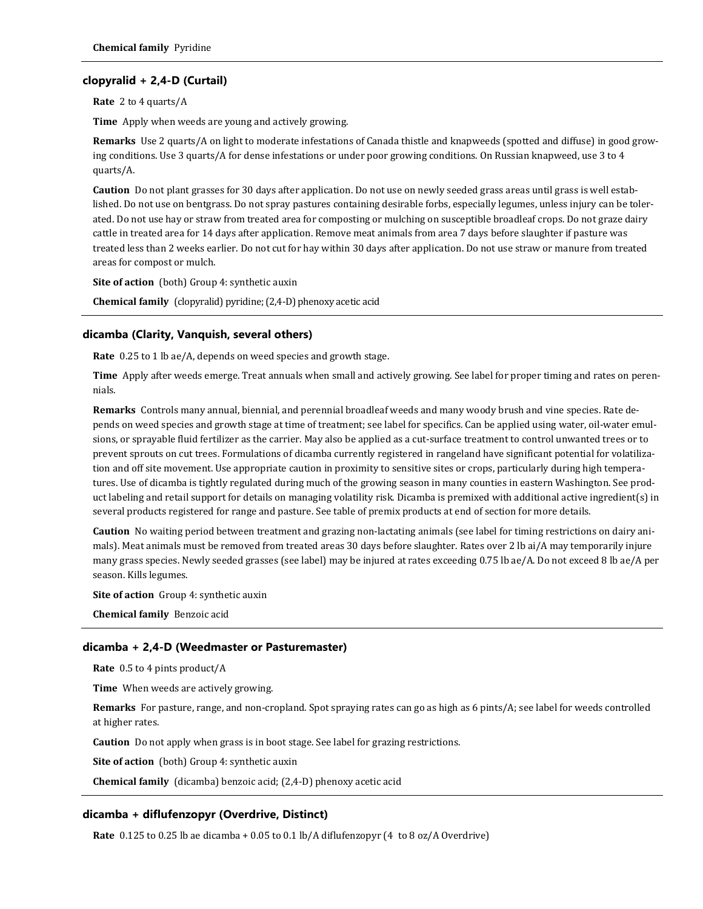# **clopyralid + 2,4-D (Curtail)**

**Rate** 2 to 4 quarts/A

**Time** Apply when weeds are young and actively growing.

**Remarks** Use 2 quarts/A on light to moderate infestations of Canada thistle and knapweeds (spotted and diffuse) in good growing conditions. Use 3 quarts/A for dense infestations or under poor growing conditions. On Russian knapweed, use 3 to 4 quarts/A.

**Caution** Do not plant grasses for 30 days after application. Do not use on newly seeded grass areas until grass is well established. Do not use on bentgrass. Do not spray pastures containing desirable forbs, especially legumes, unless injury can be tolerated. Do not use hay or straw from treated area for composting or mulching on susceptible broadleaf crops. Do not graze dairy cattle in treated area for 14 days after application. Remove meat animals from area 7 days before slaughter if pasture was treated less than 2 weeks earlier. Do not cut for hay within 30 days after application. Do not use straw or manure from treated areas for compost or mulch.

**Site of action** (both) Group 4: synthetic auxin

**Chemical family** (clopyralid) pyridine; (2,4-D) phenoxy acetic acid

#### **dicamba (Clarity, Vanquish, several others)**

**Rate** 0.25 to 1 lb ae/A, depends on weed species and growth stage.

**Time** Apply after weeds emerge. Treat annuals when small and actively growing. See label for proper timing and rates on perennials.

**Remarks** Controls many annual, biennial, and perennial broadleaf weeds and many woody brush and vine species. Rate depends on weed species and growth stage at time of treatment; see label for specifics. Can be applied using water, oil-water emulsions, or sprayable fluid fertilizer as the carrier. May also be applied as a cut-surface treatment to control unwanted trees or to prevent sprouts on cut trees. Formulations of dicamba currently registered in rangeland have significant potential for volatilization and off site movement. Use appropriate caution in proximity to sensitive sites or crops, particularly during high temperatures. Use of dicamba is tightly regulated during much of the growing season in many counties in eastern Washington. See product labeling and retail support for details on managing volatility risk. Dicamba is premixed with additional active ingredient(s) in several products registered for range and pasture. See table of premix products at end of section for more details.

**Caution** No waiting period between treatment and grazing non-lactating animals (see label for timing restrictions on dairy animals). Meat animals must be removed from treated areas 30 days before slaughter. Rates over 2 lb ai/A may temporarily injure many grass species. Newly seeded grasses (see label) may be injured at rates exceeding 0.75 lb ae/A. Do not exceed 8 lb ae/A per season. Kills legumes.

**Site of action** Group 4: synthetic auxin

**Chemical family** Benzoic acid

#### **dicamba + 2,4-D (Weedmaster or Pasturemaster)**

**Rate** 0.5 to 4 pints product/A

**Time** When weeds are actively growing.

**Remarks** For pasture, range, and non-cropland. Spot spraying rates can go as high as 6 pints/A; see label for weeds controlled at higher rates.

**Caution** Do not apply when grass is in boot stage. See label for grazing restrictions.

**Site of action** (both) Group 4: synthetic auxin

**Chemical family** (dicamba) benzoic acid; (2,4-D) phenoxy acetic acid

#### **dicamba + diflufenzopyr (Overdrive, Distinct)**

**Rate** 0.125 to 0.25 lb ae dicamba + 0.05 to 0.1 lb/A diflufenzopyr (4 to 8 oz/A Overdrive)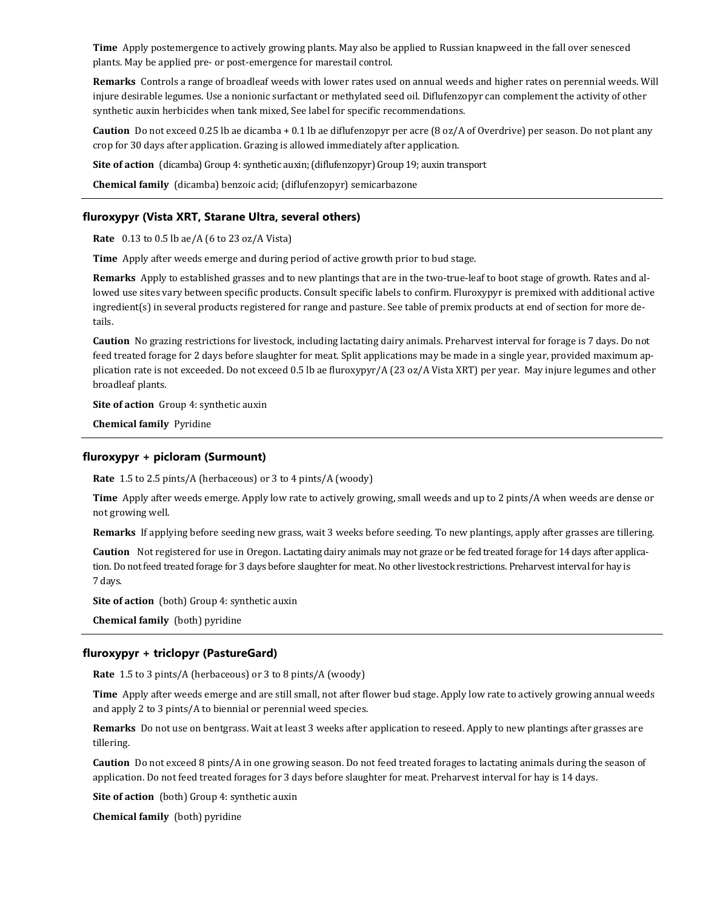**Time** Apply postemergence to actively growing plants. May also be applied to Russian knapweed in the fall over senesced plants. May be applied pre- or post-emergence for marestail control.

**Remarks** Controls a range of broadleaf weeds with lower rates used on annual weeds and higher rates on perennial weeds. Will injure desirable legumes. Use a nonionic surfactant or methylated seed oil. Diflufenzopyr can complement the activity of other synthetic auxin herbicides when tank mixed, See label for specific recommendations.

**Caution** Do not exceed 0.25 lb ae dicamba + 0.1 lb ae diflufenzopyr per acre (8 oz/A of Overdrive) per season. Do not plant any crop for 30 days after application. Grazing is allowed immediately after application.

**Site of action** (dicamba) Group 4: synthetic auxin; (diflufenzopyr) Group 19; auxin transport

**Chemical family** (dicamba) benzoic acid; (diflufenzopyr) semicarbazone

### **fluroxypyr (Vista XRT, Starane Ultra, several others)**

**Rate** 0.13 to 0.5 lb ae/A (6 to 23 oz/A Vista)

**Time** Apply after weeds emerge and during period of active growth prior to bud stage.

**Remarks** Apply to established grasses and to new plantings that are in the two-true-leaf to boot stage of growth. Rates and allowed use sites vary between specific products. Consult specific labels to confirm. Fluroxypyr is premixed with additional active ingredient(s) in several products registered for range and pasture. See table of premix products at end of section for more details.

**Caution** No grazing restrictions for livestock, including lactating dairy animals. Preharvest interval for forage is 7 days. Do not feed treated forage for 2 days before slaughter for meat. Split applications may be made in a single year, provided maximum application rate is not exceeded. Do not exceed 0.5 lb ae fluroxypyr/A (23 oz/A Vista XRT) per year. May injure legumes and other broadleaf plants.

**Site of action** Group 4: synthetic auxin

**Chemical family** Pyridine

#### **fluroxypyr + picloram (Surmount)**

**Rate** 1.5 to 2.5 pints/A (herbaceous) or 3 to 4 pints/A (woody)

**Time** Apply after weeds emerge. Apply low rate to actively growing, small weeds and up to 2 pints/A when weeds are dense or not growing well.

**Remarks** If applying before seeding new grass, wait 3 weeks before seeding. To new plantings, apply after grasses are tillering.

**Caution** Not registered for use in Oregon. Lactating dairy animals may not graze or be fed treated forage for 14 days after application. Do not feed treated forage for 3 days before slaughter for meat. No other livestock restrictions. Preharvest interval for hay is 7 days.

**Site of action** (both) Group 4: synthetic auxin

**Chemical family** (both) pyridine

# **fluroxypyr + triclopyr (PastureGard)**

**Rate** 1.5 to 3 pints/A (herbaceous) or 3 to 8 pints/A (woody)

**Time** Apply after weeds emerge and are still small, not after flower bud stage. Apply low rate to actively growing annual weeds and apply 2 to 3 pints/A to biennial or perennial weed species.

**Remarks** Do not use on bentgrass. Wait at least 3 weeks after application to reseed. Apply to new plantings after grasses are tillering.

**Caution** Do not exceed 8 pints/A in one growing season. Do not feed treated forages to lactating animals during the season of application. Do not feed treated forages for 3 days before slaughter for meat. Preharvest interval for hay is 14 days.

**Site of action** (both) Group 4: synthetic auxin

**Chemical family** (both) pyridine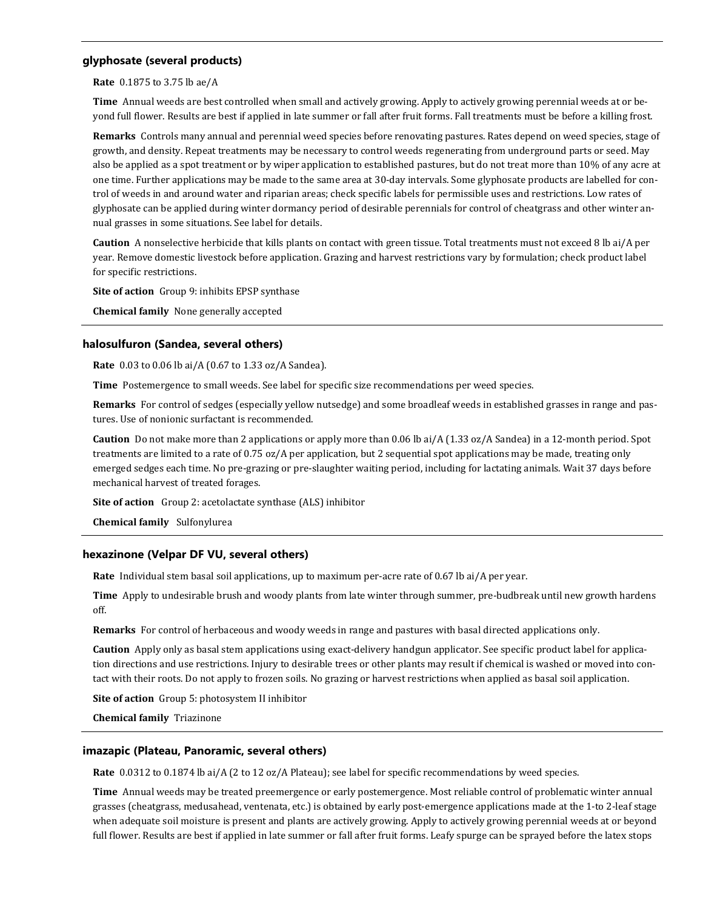# **glyphosate (several products)**

**Rate** 0.1875 to 3.75 lb ae/A

**Time** Annual weeds are best controlled when small and actively growing. Apply to actively growing perennial weeds at or beyond full flower. Results are best if applied in late summer or fall after fruit forms. Fall treatments must be before a killing frost.

**Remarks** Controls many annual and perennial weed species before renovating pastures. Rates depend on weed species, stage of growth, and density. Repeat treatments may be necessary to control weeds regenerating from underground parts or seed. May also be applied as a spot treatment or by wiper application to established pastures, but do not treat more than 10% of any acre at one time. Further applications may be made to the same area at 30-day intervals. Some glyphosate products are labelled for control of weeds in and around water and riparian areas; check specific labels for permissible uses and restrictions. Low rates of glyphosate can be applied during winter dormancy period of desirable perennials for control of cheatgrass and other winter annual grasses in some situations. See label for details.

**Caution** A nonselective herbicide that kills plants on contact with green tissue. Total treatments must not exceed 8 lb ai/A per year. Remove domestic livestock before application. Grazing and harvest restrictions vary by formulation; check product label for specific restrictions.

**Site of action** Group 9: inhibits EPSP synthase

**Chemical family** None generally accepted

# **halosulfuron (Sandea, several others)**

**Rate** 0.03 to 0.06 lb ai/A (0.67 to 1.33 oz/A Sandea).

**Time** Postemergence to small weeds. See label for specific size recommendations per weed species.

**Remarks** For control of sedges (especially yellow nutsedge) and some broadleaf weeds in established grasses in range and pastures. Use of nonionic surfactant is recommended.

**Caution** Do not make more than 2 applications or apply more than 0.06 lb ai/A (1.33 oz/A Sandea) in a 12-month period. Spot treatments are limited to a rate of 0.75 oz/A per application, but 2 sequential spot applications may be made, treating only emerged sedges each time. No pre-grazing or pre-slaughter waiting period, including for lactating animals. Wait 37 days before mechanical harvest of treated forages.

**Site of action** Group 2: acetolactate synthase (ALS) inhibitor

**Chemical family** Sulfonylurea

# **hexazinone (Velpar DF VU, several others)**

**Rate** Individual stem basal soil applications, up to maximum per-acre rate of 0.67 lb ai/A per year.

**Time** Apply to undesirable brush and woody plants from late winter through summer, pre-budbreak until new growth hardens off.

**Remarks** For control of herbaceous and woody weeds in range and pastures with basal directed applications only.

**Caution** Apply only as basal stem applications using exact-delivery handgun applicator. See specific product label for application directions and use restrictions. Injury to desirable trees or other plants may result if chemical is washed or moved into contact with their roots. Do not apply to frozen soils. No grazing or harvest restrictions when applied as basal soil application.

**Site of action** Group 5: photosystem II inhibitor

**Chemical family** Triazinone

# **imazapic (Plateau, Panoramic, several others)**

**Rate** 0.0312 to 0.1874 lb ai/A (2 to 12 oz/A Plateau); see label for specific recommendations by weed species.

**Time** Annual weeds may be treated preemergence or early postemergence. Most reliable control of problematic winter annual grasses (cheatgrass, medusahead, ventenata, etc.) is obtained by early post-emergence applications made at the 1-to 2-leaf stage when adequate soil moisture is present and plants are actively growing. Apply to actively growing perennial weeds at or beyond full flower. Results are best if applied in late summer or fall after fruit forms. Leafy spurge can be sprayed before the latex stops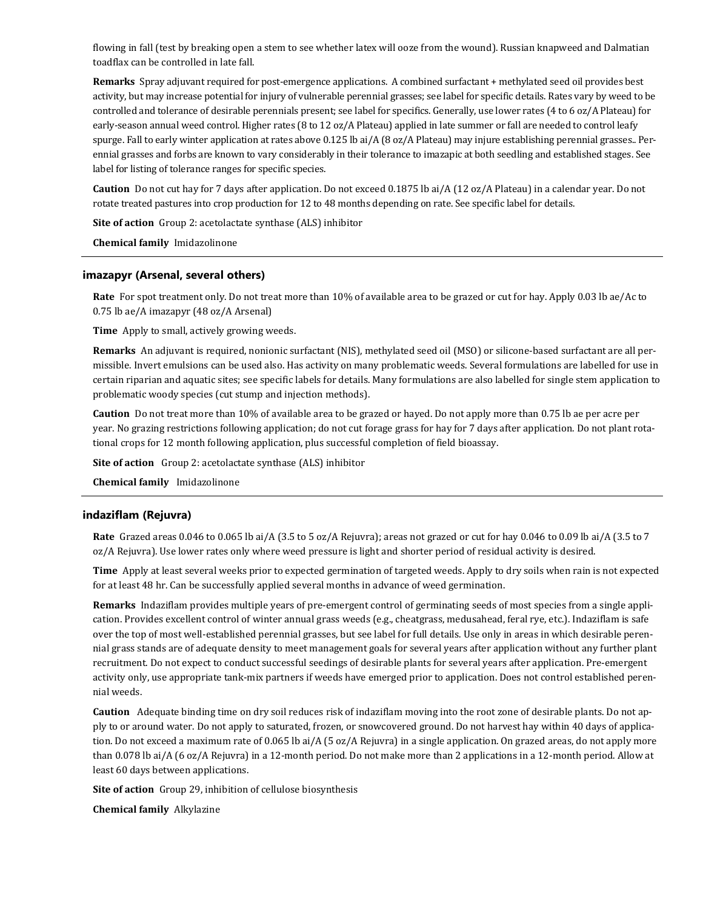flowing in fall (test by breaking open a stem to see whether latex will ooze from the wound). Russian knapweed and Dalmatian toadflax can be controlled in late fall.

**Remarks** Spray adjuvant required for post-emergence applications. A combined surfactant + methylated seed oil provides best activity, but may increase potential for injury of vulnerable perennial grasses; see label for specific details. Rates vary by weed to be controlled and tolerance of desirable perennials present; see label for specifics. Generally, use lower rates (4 to 6 oz/A Plateau) for early-season annual weed control. Higher rates (8 to 12 oz/A Plateau) applied in late summer or fall are needed to control leafy spurge. Fall to early winter application at rates above 0.125 lb ai/A (8 oz/A Plateau) may injure establishing perennial grasses.. Perennial grasses and forbs are known to vary considerably in their tolerance to imazapic at both seedling and established stages. See label for listing of tolerance ranges for specific species.

**Caution** Do not cut hay for 7 days after application. Do not exceed 0.1875 lb ai/A (12 oz/A Plateau) in a calendar year. Do not rotate treated pastures into crop production for 12 to 48 months depending on rate. See specific label for details.

**Site of action** Group 2: acetolactate synthase (ALS) inhibitor

**Chemical family** Imidazolinone

#### **imazapyr (Arsenal, several others)**

**Rate** For spot treatment only. Do not treat more than 10% of available area to be grazed or cut for hay. Apply 0.03 lb ae/Ac to 0.75 lb ae/A imazapyr (48 oz/A Arsenal)

**Time** Apply to small, actively growing weeds.

**Remarks** An adjuvant is required, nonionic surfactant (NIS), methylated seed oil (MSO) or silicone-based surfactant are all permissible. Invert emulsions can be used also. Has activity on many problematic weeds. Several formulations are labelled for use in certain riparian and aquatic sites; see specific labels for details. Many formulations are also labelled for single stem application to problematic woody species (cut stump and injection methods).

**Caution** Do not treat more than 10% of available area to be grazed or hayed. Do not apply more than 0.75 lb ae per acre per year. No grazing restrictions following application; do not cut forage grass for hay for 7 days after application. Do not plant rotational crops for 12 month following application, plus successful completion of field bioassay.

**Site of action** Group 2: acetolactate synthase (ALS) inhibitor

**Chemical family** Imidazolinone

#### **indaziflam (Rejuvra)**

**Rate** Grazed areas 0.046 to 0.065 lb ai/A (3.5 to 5 oz/A Rejuvra); areas not grazed or cut for hay 0.046 to 0.09 lb ai/A (3.5 to 7 oz/A Rejuvra). Use lower rates only where weed pressure is light and shorter period of residual activity is desired.

**Time** Apply at least several weeks prior to expected germination of targeted weeds. Apply to dry soils when rain is not expected for at least 48 hr. Can be successfully applied several months in advance of weed germination.

**Remarks** Indaziflam provides multiple years of pre-emergent control of germinating seeds of most species from a single application. Provides excellent control of winter annual grass weeds (e.g., cheatgrass, medusahead, feral rye, etc.). Indaziflam is safe over the top of most well-established perennial grasses, but see label for full details. Use only in areas in which desirable perennial grass stands are of adequate density to meet management goals for several years after application without any further plant recruitment. Do not expect to conduct successful seedings of desirable plants for several years after application. Pre-emergent activity only, use appropriate tank-mix partners if weeds have emerged prior to application. Does not control established perennial weeds.

**Caution** Adequate binding time on dry soil reduces risk of indaziflam moving into the root zone of desirable plants. Do not apply to or around water. Do not apply to saturated, frozen, or snowcovered ground. Do not harvest hay within 40 days of application. Do not exceed a maximum rate of 0.065 lb ai/A (5 oz/A Rejuvra) in a single application. On grazed areas, do not apply more than 0.078 lb ai/A (6 oz/A Rejuvra) in a 12-month period. Do not make more than 2 applications in a 12-month period. Allow at least 60 days between applications.

**Site of action** Group 29, inhibition of cellulose biosynthesis

**Chemical family** Alkylazine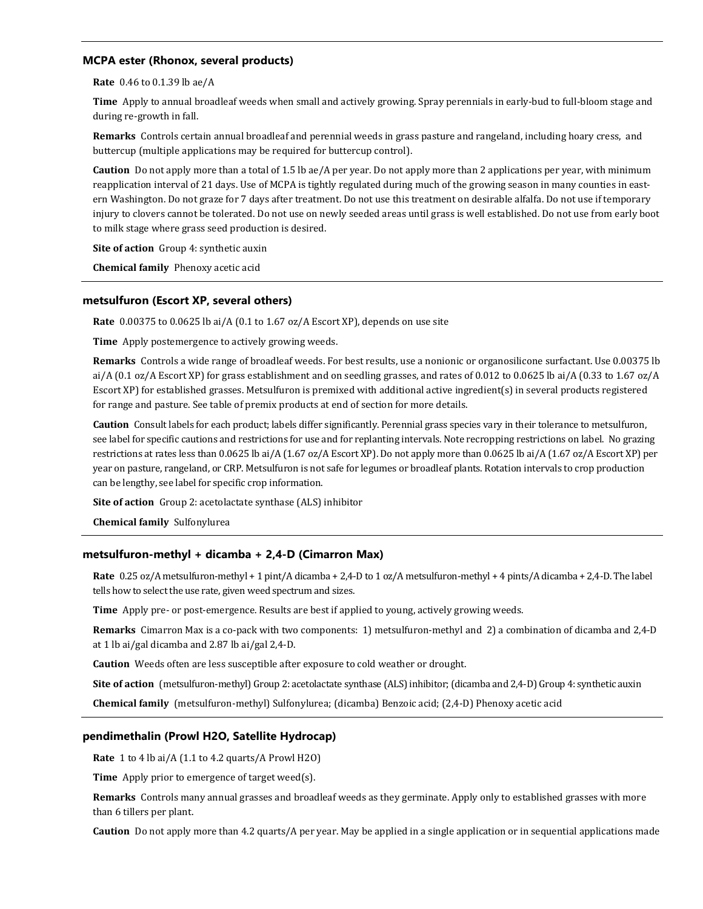# **MCPA ester (Rhonox, several products)**

**Rate** 0.46 to 0.1.39 lb ae/A

**Time** Apply to annual broadleaf weeds when small and actively growing. Spray perennials in early-bud to full-bloom stage and during re-growth in fall.

**Remarks** Controls certain annual broadleaf and perennial weeds in grass pasture and rangeland, including hoary cress, and buttercup (multiple applications may be required for buttercup control).

**Caution** Do not apply more than a total of 1.5 lb ae/A per year. Do not apply more than 2 applications per year, with minimum reapplication interval of 21 days. Use of MCPA is tightly regulated during much of the growing season in many counties in eastern Washington. Do not graze for 7 days after treatment. Do not use this treatment on desirable alfalfa. Do not use if temporary injury to clovers cannot be tolerated. Do not use on newly seeded areas until grass is well established. Do not use from early boot to milk stage where grass seed production is desired.

**Site of action** Group 4: synthetic auxin

**Chemical family** Phenoxy acetic acid

# **metsulfuron (Escort XP, several others)**

**Rate** 0.00375 to 0.0625 lb ai/A (0.1 to 1.67 oz/A Escort XP), depends on use site

**Time** Apply postemergence to actively growing weeds.

**Remarks** Controls a wide range of broadleaf weeds. For best results, use a nonionic or organosilicone surfactant. Use 0.00375 lb ai/A (0.1 oz/A Escort XP) for grass establishment and on seedling grasses, and rates of 0.012 to 0.0625 lb ai/A (0.33 to 1.67 oz/A Escort XP) for established grasses. Metsulfuron is premixed with additional active ingredient(s) in several products registered for range and pasture. See table of premix products at end of section for more details.

**Caution** Consult labels for each product; labels differ significantly. Perennial grass species vary in their tolerance to metsulfuron, see label for specific cautions and restrictions for use and for replanting intervals. Note recropping restrictions on label. No grazing restrictions at rates less than 0.0625 lb ai/A (1.67 oz/A Escort XP). Do not apply more than 0.0625 lb ai/A (1.67 oz/A Escort XP) per year on pasture, rangeland, or CRP. Metsulfuron is not safe for legumes or broadleaf plants. Rotation intervals to crop production can be lengthy, see label for specific crop information.

**Site of action** Group 2: acetolactate synthase (ALS) inhibitor

**Chemical family** Sulfonylurea

# **metsulfuron-methyl + dicamba + 2,4-D (Cimarron Max)**

**Rate** 0.25 oz/A metsulfuron-methyl + 1 pint/A dicamba + 2,4-D to 1 oz/A metsulfuron-methyl + 4 pints/A dicamba + 2,4-D. The label tells how to select the use rate, given weed spectrum and sizes.

**Time** Apply pre- or post-emergence. Results are best if applied to young, actively growing weeds.

**Remarks** Cimarron Max is a co-pack with two components: 1) metsulfuron-methyl and 2) a combination of dicamba and 2,4-D at 1 lb ai/gal dicamba and 2.87 lb ai/gal 2,4-D.

**Caution** Weeds often are less susceptible after exposure to cold weather or drought.

**Site of action** (metsulfuron-methyl) Group 2: acetolactate synthase (ALS) inhibitor; (dicamba and 2,4-D) Group 4: synthetic auxin

**Chemical family** (metsulfuron-methyl) Sulfonylurea; (dicamba) Benzoic acid; (2,4-D) Phenoxy acetic acid

# **pendimethalin (Prowl H2O, Satellite Hydrocap)**

**Rate** 1 to 4 lb ai/A (1.1 to 4.2 quarts/A Prowl H2O)

**Time** Apply prior to emergence of target weed(s).

**Remarks** Controls many annual grasses and broadleaf weeds as they germinate. Apply only to established grasses with more than 6 tillers per plant.

**Caution** Do not apply more than 4.2 quarts/A per year. May be applied in a single application or in sequential applications made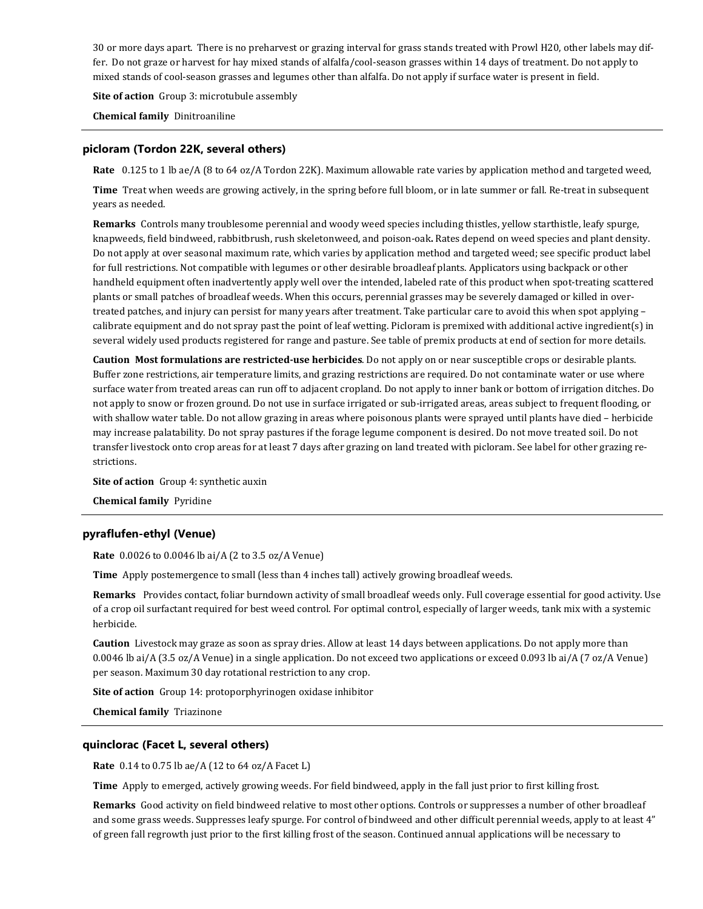30 or more days apart. There is no preharvest or grazing interval for grass stands treated with Prowl H20, other labels may differ. Do not graze or harvest for hay mixed stands of alfalfa/cool-season grasses within 14 days of treatment. Do not apply to mixed stands of cool-season grasses and legumes other than alfalfa. Do not apply if surface water is present in field.

**Site of action** Group 3: microtubule assembly

**Chemical family** Dinitroaniline

# **picloram (Tordon 22K, several others)**

**Rate** 0.125 to 1 lb ae/A (8 to 64 oz/A Tordon 22K). Maximum allowable rate varies by application method and targeted weed,

**Time** Treat when weeds are growing actively, in the spring before full bloom, or in late summer or fall. Re-treat in subsequent years as needed.

**Remarks** Controls many troublesome perennial and woody weed species including thistles, yellow starthistle, leafy spurge, knapweeds, field bindweed, rabbitbrush, rush skeletonweed, and poison-oak**.** Rates depend on weed species and plant density. Do not apply at over seasonal maximum rate, which varies by application method and targeted weed; see specific product label for full restrictions. Not compatible with legumes or other desirable broadleaf plants. Applicators using backpack or other handheld equipment often inadvertently apply well over the intended, labeled rate of this product when spot-treating scattered plants or small patches of broadleaf weeds. When this occurs, perennial grasses may be severely damaged or killed in overtreated patches, and injury can persist for many years after treatment. Take particular care to avoid this when spot applying – calibrate equipment and do not spray past the point of leaf wetting. Picloram is premixed with additional active ingredient(s) in several widely used products registered for range and pasture. See table of premix products at end of section for more details.

**Caution Most formulations are restricted-use herbicides**. Do not apply on or near susceptible crops or desirable plants. Buffer zone restrictions, air temperature limits, and grazing restrictions are required. Do not contaminate water or use where surface water from treated areas can run off to adjacent cropland. Do not apply to inner bank or bottom of irrigation ditches. Do not apply to snow or frozen ground. Do not use in surface irrigated or sub-irrigated areas, areas subject to frequent flooding, or with shallow water table. Do not allow grazing in areas where poisonous plants were sprayed until plants have died – herbicide may increase palatability. Do not spray pastures if the forage legume component is desired. Do not move treated soil. Do not transfer livestock onto crop areas for at least 7 days after grazing on land treated with picloram. See label for other grazing restrictions.

**Site of action** Group 4: synthetic auxin

**Chemical family** Pyridine

#### **pyraflufen-ethyl (Venue)**

**Rate** 0.0026 to 0.0046 lb ai/A (2 to 3.5 oz/A Venue)

**Time** Apply postemergence to small (less than 4 inches tall) actively growing broadleaf weeds.

**Remarks** Provides contact, foliar burndown activity of small broadleaf weeds only. Full coverage essential for good activity. Use of a crop oil surfactant required for best weed control. For optimal control, especially of larger weeds, tank mix with a systemic herbicide.

**Caution** Livestock may graze as soon as spray dries. Allow at least 14 days between applications. Do not apply more than 0.0046 lb ai/A (3.5 oz/A Venue) in a single application. Do not exceed two applications or exceed 0.093 lb ai/A (7 oz/A Venue) per season. Maximum 30 day rotational restriction to any crop.

**Site of action** Group 14: protoporphyrinogen oxidase inhibitor

**Chemical family** Triazinone

#### **quinclorac (Facet L, several others)**

**Rate** 0.14 to 0.75 lb ae/A (12 to 64 oz/A Facet L)

**Time** Apply to emerged, actively growing weeds. For field bindweed, apply in the fall just prior to first killing frost.

**Remarks** Good activity on field bindweed relative to most other options. Controls or suppresses a number of other broadleaf and some grass weeds. Suppresses leafy spurge. For control of bindweed and other difficult perennial weeds, apply to at least 4" of green fall regrowth just prior to the first killing frost of the season. Continued annual applications will be necessary to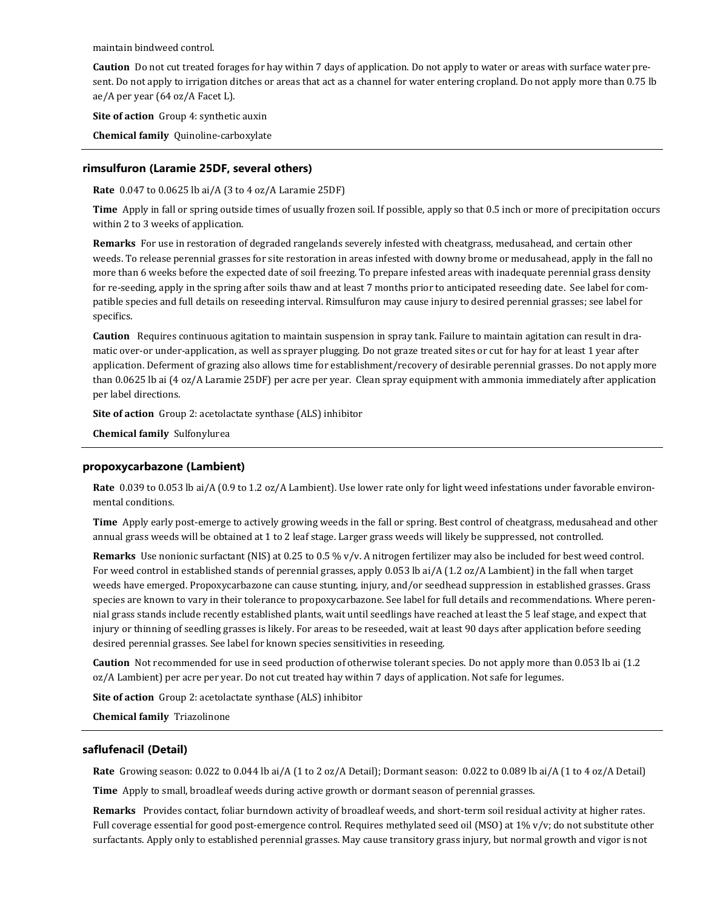maintain bindweed control.

**Caution** Do not cut treated forages for hay within 7 days of application. Do not apply to water or areas with surface water present. Do not apply to irrigation ditches or areas that act as a channel for water entering cropland. Do not apply more than 0.75 lb ae/A per year (64 oz/A Facet L).

**Site of action** Group 4: synthetic auxin

**Chemical family** Quinoline-carboxylate

# **rimsulfuron (Laramie 25DF, several others)**

**Rate** 0.047 to 0.0625 lb ai/A (3 to 4 oz/A Laramie 25DF)

**Time** Apply in fall or spring outside times of usually frozen soil. If possible, apply so that 0.5 inch or more of precipitation occurs within 2 to 3 weeks of application.

**Remarks** For use in restoration of degraded rangelands severely infested with cheatgrass, medusahead, and certain other weeds. To release perennial grasses for site restoration in areas infested with downy brome or medusahead, apply in the fall no more than 6 weeks before the expected date of soil freezing. To prepare infested areas with inadequate perennial grass density for re-seeding, apply in the spring after soils thaw and at least 7 months prior to anticipated reseeding date. See label for compatible species and full details on reseeding interval. Rimsulfuron may cause injury to desired perennial grasses; see label for specifics.

**Caution** Requires continuous agitation to maintain suspension in spray tank. Failure to maintain agitation can result in dramatic over-or under-application, as well as sprayer plugging. Do not graze treated sites or cut for hay for at least 1 year after application. Deferment of grazing also allows time for establishment/recovery of desirable perennial grasses. Do not apply more than 0.0625 lb ai (4 oz/A Laramie 25DF) per acre per year. Clean spray equipment with ammonia immediately after application per label directions.

**Site of action** Group 2: acetolactate synthase (ALS) inhibitor

**Chemical family** Sulfonylurea

# **propoxycarbazone (Lambient)**

**Rate** 0.039 to 0.053 lb ai/A (0.9 to 1.2 oz/A Lambient). Use lower rate only for light weed infestations under favorable environmental conditions.

**Time** Apply early post-emerge to actively growing weeds in the fall or spring. Best control of cheatgrass, medusahead and other annual grass weeds will be obtained at 1 to 2 leaf stage. Larger grass weeds will likely be suppressed, not controlled.

**Remarks** Use nonionic surfactant (NIS) at 0.25 to 0.5 % v/v. A nitrogen fertilizer may also be included for best weed control. For weed control in established stands of perennial grasses, apply 0.053 lb ai/A (1.2 oz/A Lambient) in the fall when target weeds have emerged. Propoxycarbazone can cause stunting, injury, and/or seedhead suppression in established grasses. Grass species are known to vary in their tolerance to propoxycarbazone. See label for full details and recommendations. Where perennial grass stands include recently established plants, wait until seedlings have reached at least the 5 leaf stage, and expect that injury or thinning of seedling grasses is likely. For areas to be reseeded, wait at least 90 days after application before seeding desired perennial grasses. See label for known species sensitivities in reseeding.

**Caution** Not recommended for use in seed production of otherwise tolerant species. Do not apply more than 0.053 lb ai (1.2 oz/A Lambient) per acre per year. Do not cut treated hay within 7 days of application. Not safe for legumes.

**Site of action** Group 2: acetolactate synthase (ALS) inhibitor

**Chemical family** Triazolinone

# **saflufenacil (Detail)**

**Rate** Growing season: 0.022 to 0.044 lb ai/A (1 to 2 oz/A Detail); Dormant season: 0.022 to 0.089 lb ai/A (1 to 4 oz/A Detail)

**Time** Apply to small, broadleaf weeds during active growth or dormant season of perennial grasses.

**Remarks** Provides contact, foliar burndown activity of broadleaf weeds, and short-term soil residual activity at higher rates. Full coverage essential for good post-emergence control. Requires methylated seed oil (MSO) at 1% v/v; do not substitute other surfactants. Apply only to established perennial grasses. May cause transitory grass injury, but normal growth and vigor is not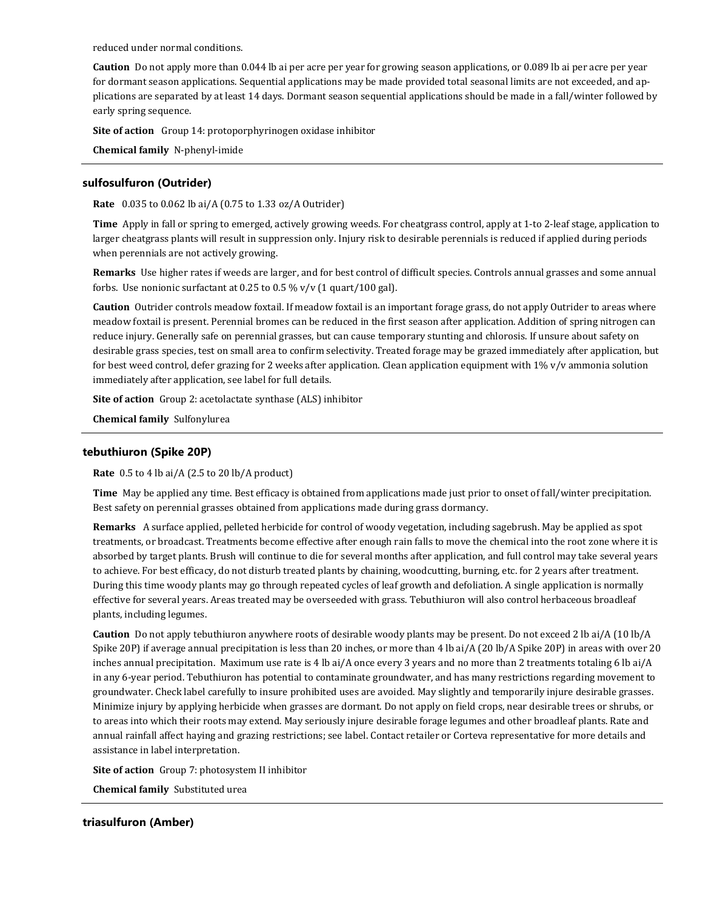reduced under normal conditions.

**Caution** Do not apply more than 0.044 lb ai per acre per year for growing season applications, or 0.089 lb ai per acre per year for dormant season applications. Sequential applications may be made provided total seasonal limits are not exceeded, and applications are separated by at least 14 days. Dormant season sequential applications should be made in a fall/winter followed by early spring sequence.

**Site of action** Group 14: protoporphyrinogen oxidase inhibitor

**Chemical family** N-phenyl-imide

# **sulfosulfuron (Outrider)**

**Rate** 0.035 to 0.062 lb ai/A (0.75 to 1.33 oz/A Outrider)

**Time** Apply in fall or spring to emerged, actively growing weeds. For cheatgrass control, apply at 1-to 2-leaf stage, application to larger cheatgrass plants will result in suppression only. Injury risk to desirable perennials is reduced if applied during periods when perennials are not actively growing.

**Remarks** Use higher rates if weeds are larger, and for best control of difficult species. Controls annual grasses and some annual forbs. Use nonionic surfactant at  $0.25$  to  $0.5\%$  v/v (1 quart/100 gal).

**Caution** Outrider controls meadow foxtail. If meadow foxtail is an important forage grass, do not apply Outrider to areas where meadow foxtail is present. Perennial bromes can be reduced in the first season after application. Addition of spring nitrogen can reduce injury. Generally safe on perennial grasses, but can cause temporary stunting and chlorosis. If unsure about safety on desirable grass species, test on small area to confirm selectivity. Treated forage may be grazed immediately after application, but for best weed control, defer grazing for 2 weeks after application. Clean application equipment with 1% v/v ammonia solution immediately after application, see label for full details.

**Site of action** Group 2: acetolactate synthase (ALS) inhibitor

**Chemical family** Sulfonylurea

#### **tebuthiuron (Spike 20P)**

**Rate** 0.5 to 4 lb ai/A (2.5 to 20 lb/A product)

**Time** May be applied any time. Best efficacy is obtained from applications made just prior to onset of fall/winter precipitation. Best safety on perennial grasses obtained from applications made during grass dormancy.

**Remarks** A surface applied, pelleted herbicide for control of woody vegetation, including sagebrush. May be applied as spot treatments, or broadcast. Treatments become effective after enough rain falls to move the chemical into the root zone where it is absorbed by target plants. Brush will continue to die for several months after application, and full control may take several years to achieve. For best efficacy, do not disturb treated plants by chaining, woodcutting, burning, etc. for 2 years after treatment. During this time woody plants may go through repeated cycles of leaf growth and defoliation. A single application is normally effective for several years. Areas treated may be overseeded with grass. Tebuthiuron will also control herbaceous broadleaf plants, including legumes.

**Caution** Do not apply tebuthiuron anywhere roots of desirable woody plants may be present. Do not exceed 2 lb ai/A (10 lb/A Spike 20P) if average annual precipitation is less than 20 inches, or more than 4 lb ai/A (20 lb/A Spike 20P) in areas with over 20 inches annual precipitation. Maximum use rate is 4 lb ai/A once every 3 years and no more than 2 treatments totaling 6 lb ai/A in any 6-year period. Tebuthiuron has potential to contaminate groundwater, and has many restrictions regarding movement to groundwater. Check label carefully to insure prohibited uses are avoided. May slightly and temporarily injure desirable grasses. Minimize injury by applying herbicide when grasses are dormant. Do not apply on field crops, near desirable trees or shrubs, or to areas into which their roots may extend. May seriously injure desirable forage legumes and other broadleaf plants. Rate and annual rainfall affect haying and grazing restrictions; see label. Contact retailer or Corteva representative for more details and assistance in label interpretation.

**Site of action** Group 7: photosystem II inhibitor

**Chemical family** Substituted urea

#### **triasulfuron (Amber)**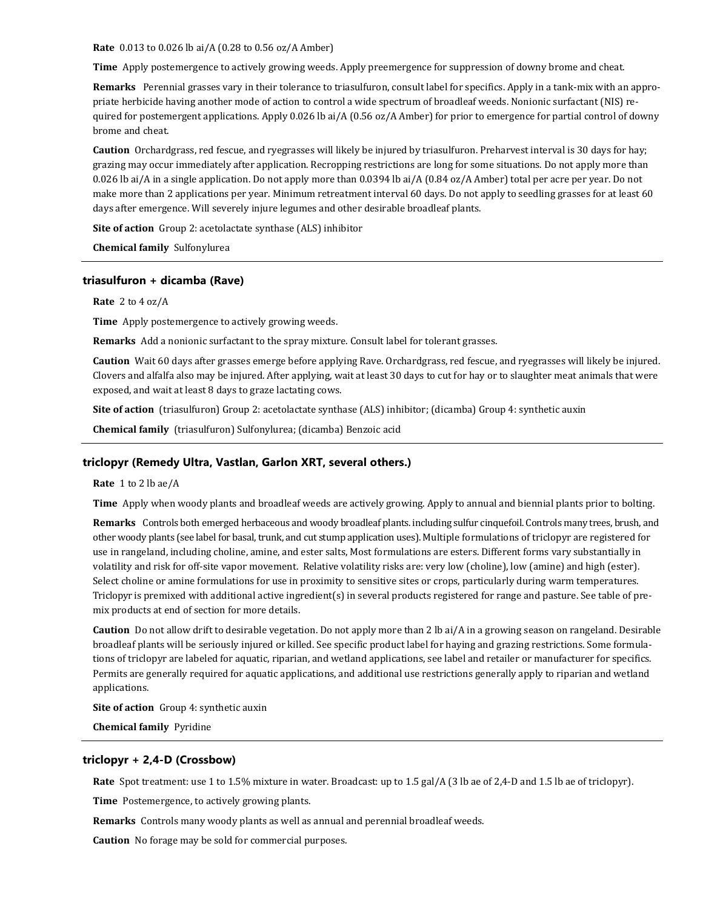**Rate** 0.013 to 0.026 lb ai/A (0.28 to 0.56 oz/A Amber)

**Time** Apply postemergence to actively growing weeds. Apply preemergence for suppression of downy brome and cheat.

**Remarks** Perennial grasses vary in their tolerance to triasulfuron, consult label for specifics. Apply in a tank-mix with an appropriate herbicide having another mode of action to control a wide spectrum of broadleaf weeds. Nonionic surfactant (NIS) required for postemergent applications. Apply 0.026 lb ai/A (0.56 oz/A Amber) for prior to emergence for partial control of downy brome and cheat.

**Caution** Orchardgrass, red fescue, and ryegrasses will likely be injured by triasulfuron. Preharvest interval is 30 days for hay; grazing may occur immediately after application. Recropping restrictions are long for some situations. Do not apply more than 0.026 lb ai/A in a single application. Do not apply more than 0.0394 lb ai/A (0.84 oz/A Amber) total per acre per year. Do not make more than 2 applications per year. Minimum retreatment interval 60 days. Do not apply to seedling grasses for at least 60 days after emergence. Will severely injure legumes and other desirable broadleaf plants.

**Site of action** Group 2: acetolactate synthase (ALS) inhibitor

**Chemical family** Sulfonylurea

#### **triasulfuron + dicamba (Rave)**

#### **Rate** 2 to 4 oz/A

**Time** Apply postemergence to actively growing weeds.

**Remarks** Add a nonionic surfactant to the spray mixture. Consult label for tolerant grasses.

**Caution** Wait 60 days after grasses emerge before applying Rave. Orchardgrass, red fescue, and ryegrasses will likely be injured. Clovers and alfalfa also may be injured. After applying, wait at least 30 days to cut for hay or to slaughter meat animals that were exposed, and wait at least 8 days to graze lactating cows.

**Site of action** (triasulfuron) Group 2: acetolactate synthase (ALS) inhibitor; (dicamba) Group 4: synthetic auxin

**Chemical family** (triasulfuron) Sulfonylurea; (dicamba) Benzoic acid

# **triclopyr (Remedy Ultra, Vastlan, Garlon XRT, several others.)**

**Rate** 1 to 2 lb ae/A

**Time** Apply when woody plants and broadleaf weeds are actively growing. Apply to annual and biennial plants prior to bolting.

**Remarks** Controls both emerged herbaceous and woody broadleaf plants. including sulfur cinquefoil. Controls many trees, brush, and other woody plants (see label for basal, trunk, and cut stump application uses). Multiple formulations of triclopyr are registered for use in rangeland, including choline, amine, and ester salts, Most formulations are esters. Different forms vary substantially in volatility and risk for off-site vapor movement. Relative volatility risks are: very low (choline), low (amine) and high (ester). Select choline or amine formulations for use in proximity to sensitive sites or crops, particularly during warm temperatures. Triclopyr is premixed with additional active ingredient(s) in several products registered for range and pasture. See table of premix products at end of section for more details.

**Caution** Do not allow drift to desirable vegetation. Do not apply more than 2 lb ai/A in a growing season on rangeland. Desirable broadleaf plants will be seriously injured or killed. See specific product label for haying and grazing restrictions. Some formulations of triclopyr are labeled for aquatic, riparian, and wetland applications, see label and retailer or manufacturer for specifics. Permits are generally required for aquatic applications, and additional use restrictions generally apply to riparian and wetland applications.

**Site of action** Group 4: synthetic auxin

**Chemical family** Pyridine

# **triclopyr + 2,4-D (Crossbow)**

**Rate** Spot treatment: use 1 to 1.5% mixture in water. Broadcast: up to 1.5 gal/A (3 lb ae of 2,4-D and 1.5 lb ae of triclopyr).

**Time** Postemergence, to actively growing plants.

**Remarks** Controls many woody plants as well as annual and perennial broadleaf weeds.

**Caution** No forage may be sold for commercial purposes.